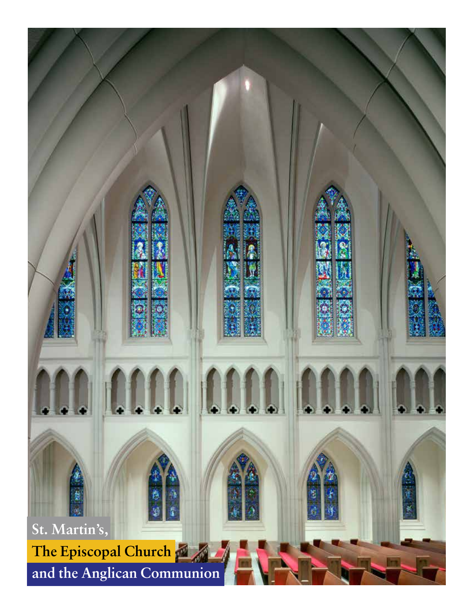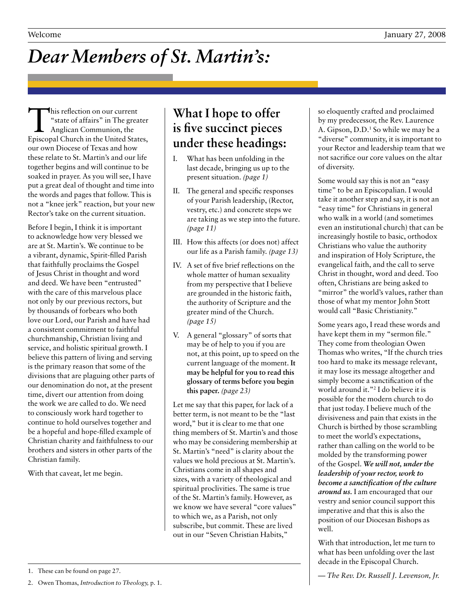# *Dear Members of St. Martin's:*

This reflection on our current "state of affairs" in The greater Anglican Communion, the Episcopal Church in the United States, our own Diocese of Texas and how these relate to St. Martin's and our life together begins and will continue to be soaked in prayer. As you will see, I have put a great deal of thought and time into the words and pages that follow. This is not a "knee jerk" reaction, but your new Rector's take on the current situation.

Before I begin, I think it is important to acknowledge how very blessed we are at St. Martin's. We continue to be a vibrant, dynamic, Spirit-filled Parish that faithfully proclaims the Gospel of Jesus Christ in thought and word and deed. We have been "entrusted" with the care of this marvelous place not only by our previous rectors, but by thousands of forbears who both love our Lord, our Parish and have had a consistent commitment to faithful churchmanship, Christian living and service, and holistic spiritual growth. I believe this pattern of living and serving is the primary reason that some of the divisions that are plaguing other parts of our denomination do not, at the present time, divert our attention from doing the work we are called to do. We need to consciously work hard together to continue to hold ourselves together and be a hopeful and hope-filled example of Christian charity and faithfulness to our brothers and sisters in other parts of the Christian family.

With that caveat, let me begin.

### **What I hope to offer is five succinct pieces under these headings:**

- I. What has been unfolding in the last decade, bringing us up to the present situation. *(page 1)*
- II. The general and specific responses of your Parish leadership, (Rector, vestry, etc.) and concrete steps we are taking as we step into the future. *(page 11)*
- III. How this affects (or does not) affect our life as a Parish family. *(page 13)*
- IV. A set of five brief reflections on the whole matter of human sexuality from my perspective that I believe are grounded in the historic faith, the authority of Scripture and the greater mind of the Church. *(page 15)*
- V. A general "glossary" of sorts that may be of help to you if you are not, at this point, up to speed on the current language of the moment. **It may be helpful for you to read this glossary of terms before you begin this paper.** *(page 23)*

Let me say that this paper, for lack of a better term, is not meant to be the "last word," but it is clear to me that one thing members of St. Martin's and those who may be considering membership at St. Martin's "need" is clarity about the values we hold precious at St. Martin's. Christians come in all shapes and sizes, with a variety of theological and spiritual proclivities. The same is true of the St. Martin's family. However, as we know we have several "core values" to which we, as a Parish, not only subscribe, but commit. These are lived out in our "Seven Christian Habits,"

so eloquently crafted and proclaimed by my predecessor, the Rev. Laurence A. Gipson, D.D.<sup>1</sup> So while we may be a "diverse" community, it is important to your Rector and leadership team that we not sacrifice our core values on the altar of diversity.

Some would say this is not an "easy time" to be an Episcopalian. I would take it another step and say, it is not an "easy time" for Christians in general who walk in a world (and sometimes even an institutional church) that can be increasingly hostile to basic, orthodox Christians who value the authority and inspiration of Holy Scripture, the evangelical faith, and the call to serve Christ in thought, word and deed. Too often, Christians are being asked to "mirror" the world's values, rather than those of what my mentor John Stott would call "Basic Christianity."

Some years ago, I read these words and have kept them in my "sermon file." They come from theologian Owen Thomas who writes, "If the church tries too hard to make its message relevant, it may lose its message altogether and simply become a sanctification of the world around it."2 I do believe it is possible for the modern church to do that just today. I believe much of the divisiveness and pain that exists in the Church is birthed by those scrambling to meet the world's expectations, rather than calling on the world to be molded by the transforming power of the Gospel. *We will not, under the leadership of your rector, work to become a sanctification of the culture around us.* I am encouraged that our vestry and senior council support this imperative and that this is also the position of our Diocesan Bishops as well.

With that introduction, let me turn to what has been unfolding over the last decade in the Episcopal Church.

<sup>1.</sup> These can be found on page 27.

<sup>2.</sup> Owen Thomas, *Introduction to Theology,* p. 1.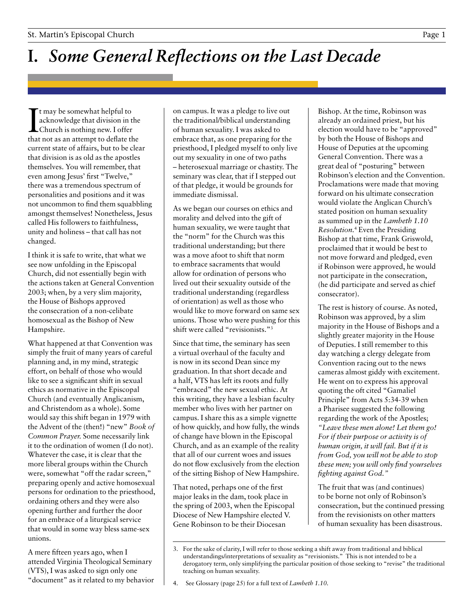# **I.** *Some General Reflections on the Last Decade*

If may be somewhat helpful to<br>acknowledge that division in the<br>Church is nothing new. I offer<br>that not as an attempt to deflate the t may be somewhat helpful to acknowledge that division in the Church is nothing new. I offer current state of affairs, but to be clear that division is as old as the apostles themselves. You will remember, that even among Jesus' first "Twelve," there was a tremendous spectrum of personalities and positions and it was not uncommon to find them squabbling amongst themselves! Nonetheless, Jesus called His followers to faithfulness, unity and holiness – that call has not changed.

I think it is safe to write, that what we see now unfolding in the Episcopal Church, did not essentially begin with the actions taken at General Convention 2003; when, by a very slim majority, the House of Bishops approved the consecration of a non-celibate homosexual as the Bishop of New Hampshire.

What happened at that Convention was simply the fruit of many years of careful planning and, in my mind, strategic effort, on behalf of those who would like to see a significant shift in sexual ethics as normative in the Episcopal Church (and eventually Anglicanism, and Christendom as a whole). Some would say this shift began in 1979 with the Advent of the (then!) "new" *Book of Common Prayer.* Some necessarily link it to the ordination of women (I do not). Whatever the case, it is clear that the more liberal groups within the Church were, somewhat "off the radar screen," preparing openly and active homosexual persons for ordination to the priesthood, ordaining others and they were also opening further and further the door for an embrace of a liturgical service that would in some way bless same-sex unions.

A mere fifteen years ago, when I attended Virginia Theological Seminary (VTS), I was asked to sign only one "document" as it related to my behavior on campus. It was a pledge to live out the traditional/biblical understanding of human sexuality. I was asked to embrace that, as one preparing for the priesthood, I pledged myself to only live out my sexuality in one of two paths – heterosexual marriage or chastity. The seminary was clear, that if I stepped out of that pledge, it would be grounds for immediate dismissal.

As we began our courses on ethics and morality and delved into the gift of human sexuality, we were taught that the "norm" for the Church was this traditional understanding; but there was a move afoot to shift that norm to embrace sacraments that would allow for ordination of persons who lived out their sexuality outside of the traditional understanding (regardless of orientation) as well as those who would like to move forward on same sex unions. Those who were pushing for this shift were called "revisionists."3

Since that time, the seminary has seen a virtual overhaul of the faculty and is now in its second Dean since my graduation. In that short decade and a half, VTS has left its roots and fully "embraced" the new sexual ethic. At this writing, they have a lesbian faculty member who lives with her partner on campus. I share this as a simple vignette of how quickly, and how fully, the winds of change have blown in the Episcopal Church, and as an example of the reality that all of our current woes and issues do not flow exclusively from the election of the sitting Bishop of New Hampshire.

That noted, perhaps one of the first major leaks in the dam, took place in the spring of 2003, when the Episcopal Diocese of New Hampshire elected V. Gene Robinson to be their Diocesan

Bishop. At the time, Robinson was already an ordained priest, but his election would have to be "approved" by both the House of Bishops and House of Deputies at the upcoming General Convention. There was a great deal of "posturing" between Robinson's election and the Convention. Proclamations were made that moving forward on his ultimate consecration would violate the Anglican Church's stated position on human sexuality as summed up in the *Lambeth 1.10 Resolution.*<sup>4</sup> Even the Presiding Bishop at that time, Frank Griswold, proclaimed that it would be best to not move forward and pledged, even if Robinson were approved, he would not participate in the consecration, (he did participate and served as chief consecrator).

The rest is history of course. As noted, Robinson was approved, by a slim majority in the House of Bishops and a slightly greater majority in the House of Deputies. I still remember to this day watching a clergy delegate from Convention racing out to the news cameras almost giddy with excitement. He went on to express his approval quoting the oft cited "Gamaliel Principle" from Acts 5:34-39 when a Pharisee suggested the following regarding the work of the Apostles; *"Leave these men alone! Let them go! For if their purpose or activity is of human origin, it will fail. But if it is from God, you will not be able to stop these men; you will only find yourselves fighting against God."*

The fruit that was (and continues) to be borne not only of Robinson's consecration, but the continued pressing from the revisionists on other matters of human sexuality has been disastrous.

<sup>3.</sup> For the sake of clarity, I will refer to those seeking a shift away from traditional and biblical understandings/interpretations of sexuality as "revisionists." This is not intended to be a derogatory term, only simplifying the particular position of those seeking to "revise" the traditional teaching on human sexuality.

<sup>4.</sup> See Glossary (page 25) for a full text of *Lambeth 1.10.*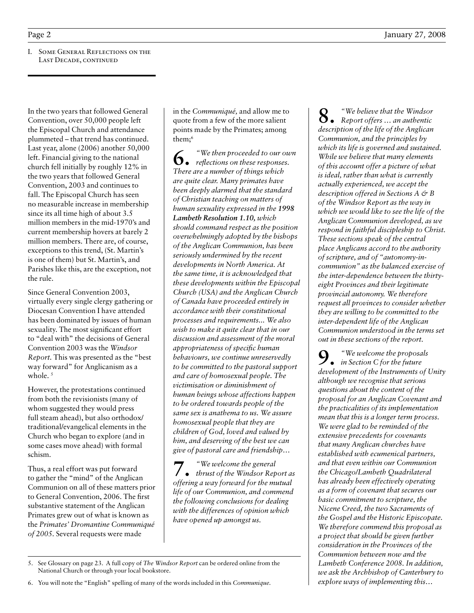LAST DECADE, CONTINUED

In the two years that followed General Convention, over 50,000 people left the Episcopal Church and attendance plummeted – that trend has continued. Last year, alone (2006) another 50,000 left. Financial giving to the national church fell initially by roughly 12% in the two years that followed General Convention, 2003 and continues to fall. The Episcopal Church has seen no measurable increase in membership since its all time high of about 3.5 million members in the mid-1970's and current membership hovers at barely 2 million members. There are, of course, exceptions to this trend, (St. Martin's is one of them) but St. Martin's, and Parishes like this, are the exception, not the rule.

Since General Convention 2003, virtually every single clergy gathering or Diocesan Convention I have attended has been dominated by issues of human sexuality. The most significant effort to "deal with" the decisions of General Convention 2003 was the *Windsor Report.* This was presented as the "best way forward" for Anglicanism as a whole.<sup>5</sup>

However, the protestations continued from both the revisionists (many of whom suggested they would press full steam ahead), but also orthodox/ traditional/evangelical elements in the Church who began to explore (and in some cases move ahead) with formal schism.

Thus, a real effort was put forward to gather the "mind" of the Anglican Communion on all of these matters prior to General Convention, 2006. The first substantive statement of the Anglican Primates grew out of what is known as the *Primates' Dromantine Communiqué of 2005.* Several requests were made

in the *Communiqué,* and allow me to quote from a few of the more salient points made by the Primates; among them;<sup>6</sup>

**6.** *"We then proceeded to our own reflections on these responses. There are a number of things which are quite clear. Many primates have been deeply alarmed that the standard of Christian teaching on matters of human sexuality expressed in the 1998 Lambeth Resolution 1.10, which should command respect as the position overwhelmingly adopted by the bishops of the Anglican Communion, has been seriously undermined by the recent developments in North America. At the same time, it is acknowledged that these developments within the Episcopal Church (USA) and the Anglican Church of Canada have proceeded entirely in accordance with their constitutional processes and requirements... We also wish to make it quite clear that in our discussion and assessment of the moral appropriateness of specific human behaviours, we continue unreservedly to be committed to the pastoral support and care of homosexual people. The victimisation or diminishment of human beings whose affections happen to be ordered towards people of the same sex is anathema to us. We assure homosexual people that they are children of God, loved and valued by him, and deserving of the best we can give of pastoral care and friendship…*

**7.** *"We welcome the general thrust of the Windsor Report as offering a way forward for the mutual life of our Communion, and commend the following conclusions for dealing with the differences of opinion which have opened up amongst us.* 

6. You will note the "English" spelling of many of the words included in this *Communique.*

**8.** *"We believe that the Windsor Report offers … an authentic description of the life of the Anglican Communion, and the principles by which its life is governed and sustained. While we believe that many elements of this account offer a picture of what is ideal, rather than what is currently actually experienced, we accept the description offered in Sections A & B of the Windsor Report as the way in which we would like to see the life of the Anglican Communion developed, as we respond in faithful discipleship to Christ. These sections speak of the central place Anglicans accord to the authority of scripture, and of "autonomy-incommunion" as the balanced exercise of the inter-dependence between the thirtyeight Provinces and their legitimate provincial autonomy. We therefore request all provinces to consider whether they are willing to be committed to the inter-dependent life of the Anglican Communion understood in the terms set out in these sections of the report.* 

**9.** *"We welcome the proposals in Section C for the future development of the Instruments of Unity although we recognise that serious questions about the content of the proposal for an Anglican Covenant and the practicalities of its implementation mean that this is a longer term process. We were glad to be reminded of the extensive precedents for covenants that many Anglican churches have established with ecumenical partners, and that even within our Communion the Chicago/Lambeth Quadrilateral has already been effectively operating as a form of covenant that secures our basic commitment to scripture, the Nicene Creed, the two Sacraments of the Gospel and the Historic Episcopate. We therefore commend this proposal as a project that should be given further consideration in the Provinces of the Communion between now and the Lambeth Conference 2008. In addition, we ask the Archbishop of Canterbury to explore ways of implementing this…*

<sup>5.</sup> See Glossary on page 23. A full copy of *The Windsor Report* can be ordered online from the National Church or through your local bookstore.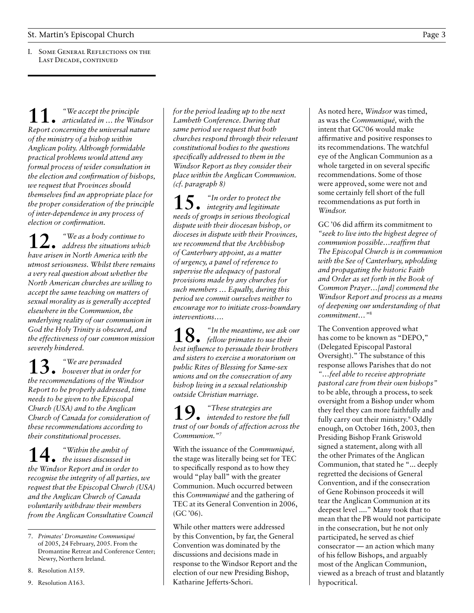I. Some General Reflections on the LAST DECADE, CONTINUED

**11.** *"We accept the principle articulated in … the Windsor Report concerning the universal nature of the ministry of a bishop within Anglican polity. Although formidable practical problems would attend any formal process of wider consultation in the election and confirmation of bishops, we request that Provinces should themselves find an appropriate place for the proper consideration of the principle of inter-dependence in any process of election or confirmation.* 

**12.** *"We as a body continue to address the situations which have arisen in North America with the utmost seriousness. Whilst there remains a very real question about whether the North American churches are willing to accept the same teaching on matters of sexual morality as is generally accepted elsewhere in the Communion, the underlying reality of our communion in God the Holy Trinity is obscured, and the effectiveness of our common mission severely hindered.* 

**13.** *"We are persuaded however that in order for the recommendations of the Windsor Report to be properly addressed, time needs to be given to the Episcopal Church (USA) and to the Anglican Church of Canada for consideration of these recommendations according to their constitutional processes.* 

**14.** *"Within the ambit of the issues discussed in the Windsor Report and in order to recognise the integrity of all parties, we request that the Episcopal Church (USA) and the Anglican Church of Canada voluntarily withdraw their members from the Anglican Consultative Council* 

8. Resolution A159.

*for the period leading up to the next Lambeth Conference. During that same period we request that both churches respond through their relevant constitutional bodies to the questions specifically addressed to them in the Windsor Report as they consider their place within the Anglican Communion. (cf. paragraph 8)* 

**15.** *"In order to protect the integrity and legitimate needs of groups in serious theological dispute with their diocesan bishop, or dioceses in dispute with their Provinces, we recommend that the Archbishop of Canterbury appoint, as a matter of urgency, a panel of reference to supervise the adequacy of pastoral provisions made by any churches for such members … Equally, during this period we commit ourselves neither to encourage nor to initiate cross-boundary interventions….*

**18.** *"In the meantime, we ask our fellow primates to use their best influence to persuade their brothers and sisters to exercise a moratorium on public Rites of Blessing for Same-sex unions and on the consecration of any bishop living in a sexual relationship outside Christian marriage.* 

**19.** *"These strategies are intended to restore the full trust of our bonds of affection across the Communion."7*

With the issuance of the *Communiqué,*  the stage was literally being set for TEC to specifically respond as to how they would "play ball" with the greater Communion. Much occurred between this *Communiqué* and the gathering of TEC at its General Convention in 2006, (GC '06).

While other matters were addressed by this Convention, by far, the General Convention was dominated by the discussions and decisions made in response to the Windsor Report and the election of our new Presiding Bishop, Katharine Jefferts-Schori.

As noted here, *Windsor* was timed, as was the *Communiqué,* with the intent that GC'06 would make affirmative and positive responses to its recommendations. The watchful eye of the Anglican Communion as a whole targeted in on several specific recommendations. Some of those were approved, some were not and some certainly fell short of the full recommendations as put forth in *Windsor.* 

GC '06 did affirm its commitment to *"seek to live into the highest degree of communion possible…reaffirm that The Episcopal Church is in communion with the See of Canterbury, upholding and propagating the historic Faith and Order as set forth in the Book of Common Prayer…[and] commend the Windsor Report and process as a means of deepening our understanding of that commitment…"*<sup>8</sup>

The Convention approved what has come to be known as "DEPO," (Delegated Episcopal Pastoral Oversight)." The substance of this response allows Parishes that do not *"…feel able to receive appropriate pastoral care from their own bishops"* to be able, through a process, to seek oversight from a Bishop under whom they feel they can more faithfully and fully carry out their ministry.<sup>9</sup> Oddly enough, on October 16th, 2003, then Presiding Bishop Frank Griswold signed a statement, along with all the other Primates of the Anglican Communion, that stated he "... deeply regretted the decisions of General Convention, and if the consecration of Gene Robinson proceeds it will tear the Anglican Communion at its deepest level ...." Many took that to mean that the PB would not participate in the consecration, but he not only participated, he served as chief consecrator — an action which many of his fellow Bishops, and arguably most of the Anglican Communion, viewed as a breach of trust and blatantly hypocritical.

<sup>7.</sup> *Primates' Dromantine Communiqué*  of 2005, 24 February, 2005. From the Dromantine Retreat and Conference Center; Newry, Northern Ireland.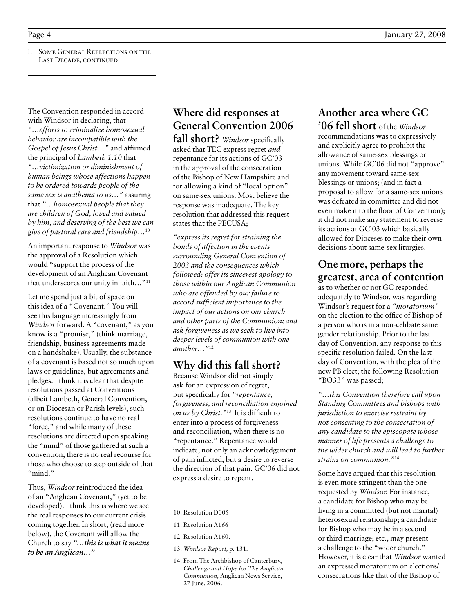I. Some General Reflections on the LAST DECADE, CONTINUED

The Convention responded in accord with Windsor in declaring, that *"…efforts to criminalize homosexual behavior are incompatible with the Gospel of Jesus Christ…"* and affirmed the principal of *Lambeth 1.10* that *"…victimization or diminishment of human beings whose affections happen to be ordered towards people of the same sex is anathema to us…"* assuring that *"…homosexual people that they are children of God, loved and valued by him, and deserving of the best we can give of pastoral care and friendship…*<sup>10</sup>

An important response to *Windsor* was the approval of a Resolution which would "support the process of the development of an Anglican Covenant that underscores our unity in faith…"11

Let me spend just a bit of space on this idea of a "Covenant." You will see this language increasingly from *Windsor* forward. A "covenant," as you know is a "promise," (think marriage, friendship, business agreements made on a handshake). Usually, the substance of a covenant is based not so much upon laws or guidelines, but agreements and pledges. I think it is clear that despite resolutions passed at Conventions (albeit Lambeth, General Convention, or on Diocesan or Parish levels), such resolutions continue to have no real "force," and while many of these resolutions are directed upon speaking the "mind" of those gathered at such a convention, there is no real recourse for those who choose to step outside of that "mind."

Thus, *Windsor* reintroduced the idea of an "Anglican Covenant," (yet to be developed). I think this is where we see the real responses to our current crisis coming together. In short, (read more below), the Covenant will allow the Church to say *"…this is what it means to be an Anglican…"*

### **Where did responses at General Convention 2006**

**fall short?** *Windsor* specifically asked that TEC express regret *and* repentance for its actions of GC'03 in the approval of the consecration of the Bishop of New Hampshire and for allowing a kind of "local option" on same-sex unions. Most believe the response was inadequate. The key resolution that addressed this request states that the PECUSA;

*"express its regret for straining the bonds of affection in the events surrounding General Convention of 2003 and the consequences which followed; offer its sincerest apology to those within our Anglican Communion who are offended by our failure to accord sufficient importance to the impact of our actions on our church and other parts of the Communion; and ask forgiveness as we seek to live into deeper levels of communion with one another…"*<sup>12</sup>

### **Why did this fall short?**

Because Windsor did not simply ask for an expression of regret, but specifically for *"repentance, forgiveness, and reconciliation enjoined on us by Christ."*13 It is difficult to enter into a process of forgiveness and reconciliation, when there is no "repentance." Repentance would indicate, not only an acknowledgement of pain inflicted, but a desire to reverse the direction of that pain. GC'06 did not express a desire to repent.

- 13. *Windsor Report,* p. 131.
- 14. From The Archbishop of Canterbury, *Challenge and Hope for The Anglican Communion,* Anglican News Service, 27 June, 2006.

### **Another area where GC '06 fell short** of the *Windsor*

recommendations was to expressively and explicitly agree to prohibit the allowance of same-sex blessings or unions. While GC'06 did not "approve" any movement toward same-sex blessings or unions; (and in fact a proposal to allow for a same-sex unions was defeated in committee and did not even make it to the floor of Convention); it did not make any statement to reverse its actions at GC'03 which basically allowed for Dioceses to make their own decisions about same-sex liturgies.

### **One more, perhaps the greatest, area of contention**

as to whether or not GC responded adequately to Windsor, was regarding Windsor's request for a *"moratorium"*  on the election to the office of Bishop of a person who is in a non-celibate same gender relationship. Prior to the last day of Convention, any response to this specific resolution failed. On the last day of Convention, with the plea of the new PB elect; the following Resolution "BO33" was passed;

*"…this Convention therefore call upon Standing Committees and bishops with jurisdiction to exercise restraint by not consenting to the consecration of any candidate to the episcopate whose manner of life presents a challenge to the wider church and will lead to further strains on communion."*<sup>14</sup>

Some have argued that this resolution is even more stringent than the one requested by *Windsor.* For instance, a candidate for Bishop who may be living in a committed (but not marital) heterosexual relationship; a candidate for Bishop who may be in a second or third marriage; etc., may present a challenge to the "wider church." However, it is clear that *Windsor* wanted an expressed moratorium on elections/ consecrations like that of the Bishop of

<sup>10.</sup> Resolution D005

<sup>11.</sup> Resolution A166

<sup>12.</sup> Resolution A160.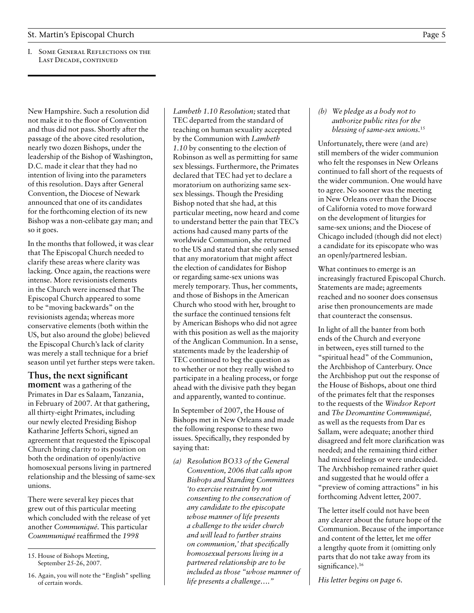I. Some General Reflections on the LAST DECADE, CONTINUED

New Hampshire. Such a resolution did not make it to the floor of Convention and thus did not pass. Shortly after the passage of the above cited resolution, nearly two dozen Bishops, under the leadership of the Bishop of Washington, D.C. made it clear that they had no intention of living into the parameters of this resolution. Days after General Convention, the Diocese of Newark announced that one of its candidates for the forthcoming election of its new Bishop was a non-celibate gay man; and so it goes.

In the months that followed, it was clear that The Episcopal Church needed to clarify these areas where clarity was lacking. Once again, the reactions were intense. More revisionists elements in the Church were incensed that The Episcopal Church appeared to some to be "moving backwards" on the revisionists agenda; whereas more conservative elements (both within the US, but also around the globe) believed the Episcopal Church's lack of clarity was merely a stall technique for a brief season until yet further steps were taken.

#### **Thus, the next significant**

**moment** was a gathering of the Primates in Dar es Salaam, Tanzania, in February of 2007. At that gathering, all thirty-eight Primates, including our newly elected Presiding Bishop Katharine Jefferts Schori, signed an agreement that requested the Episcopal Church bring clarity to its position on both the ordination of openly/active homosexual persons living in partnered relationship and the blessing of same-sex unions.

There were several key pieces that grew out of this particular meeting which concluded with the release of yet another *Communiqué.* This particular *Coummuniqué* reaffirmed the *1998* 

15. House of Bishops Meeting, September 25-26, 2007.

*Lambeth 1.10 Resolution;* stated that TEC departed from the standard of teaching on human sexuality accepted by the Communion with *Lambeth 1.10* by consenting to the election of Robinson as well as permitting for same sex blessings. Furthermore, the Primates declared that TEC had yet to declare a moratorium on authorizing same sexsex blessings. Though the Presiding Bishop noted that she had, at this particular meeting, now heard and come to understand better the pain that TEC's actions had caused many parts of the worldwide Communion, she returned to the US and stated that she only sensed that any moratorium that might affect the election of candidates for Bishop or regarding same-sex unions was merely temporary. Thus, her comments, and those of Bishops in the American Church who stood with her, brought to the surface the continued tensions felt by American Bishops who did not agree with this position as well as the majority of the Anglican Communion. In a sense, statements made by the leadership of TEC continued to beg the question as to whether or not they really wished to participate in a healing process, or forge ahead with the divisive path they began and apparently, wanted to continue.

In September of 2007, the House of Bishops met in New Orleans and made the following response to these two issues. Specifically, they responded by saying that:

*(a) Resolution BO33 of the General Convention, 2006 that calls upon Bishops and Standing Committees 'to exercise restraint by not consenting to the consecration of any candidate to the episcopate whose manner of life presents a challenge to the wider church and will lead to further strains on communion,' that specifically homosexual persons living in a partnered relationship are to be included as those "whose manner of life presents a challenge…."*

#### *(b) We pledge as a body not to authorize public rites for the blessing of same-sex unions.*<sup>15</sup>

Unfortunately, there were (and are) still members of the wider communion who felt the responses in New Orleans continued to fall short of the requests of the wider communion. One would have to agree. No sooner was the meeting in New Orleans over than the Diocese of California voted to move forward on the development of liturgies for same-sex unions; and the Diocese of Chicago included (though did not elect) a candidate for its episcopate who was an openly/partnered lesbian.

What continues to emerge is an increasingly fractured Episcopal Church. Statements are made; agreements reached and no sooner does consensus arise then pronouncements are made that counteract the consensus.

In light of all the banter from both ends of the Church and everyone in between, eyes still turned to the "spiritual head" of the Communion, the Archbishop of Canterbury. Once the Archbishop put out the response of the House of Bishops, about one third of the primates felt that the responses to the requests of the *Windsor Report*  and *The Deomantine Communiqué,*  as well as the requests from Dar es Sallam, were adequate; another third disagreed and felt more clarification was needed; and the remaining third either had mixed feelings or were undecided. The Archbishop remained rather quiet and suggested that he would offer a "preview of coming attractions" in his forthcoming Advent letter, 2007.

The letter itself could not have been any clearer about the future hope of the Communion. Because of the importance and content of the letter, let me offer a lengthy quote from it (omitting only parts that do not take away from its significance).<sup>16</sup>

*His letter begins on page 6.*

<sup>16.</sup> Again, you will note the "English" spelling of certain words.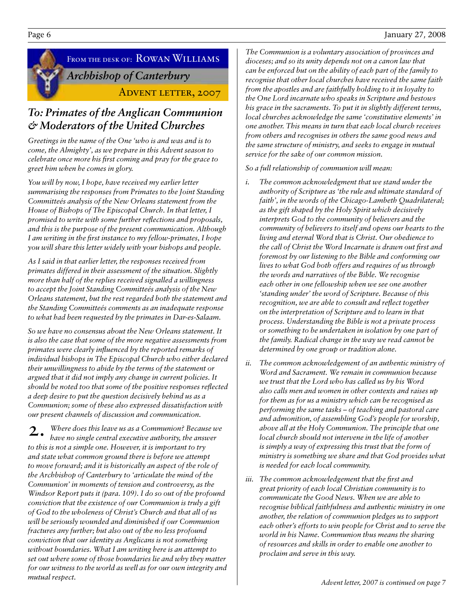#### Page 6 January 27, 2008



### *To: Primates of the Anglican Communion & Moderators of the United Churches*

*Greetings in the name of the One 'who is and was and is to come, the Almighty', as we prepare in this Advent season to celebrate once more his first coming and pray for the grace to greet him when he comes in glory.* 

*You will by now, I hope, have received my earlier letter summarising the responses from Primates to the Joint Standing Committeés analysis of the New Orleans statement from the House of Bishops of The Episcopal Church. In that letter, I promised to write with some further reflections and proposals, and this is the purpose of the present communication. Although I am writing in the first instance to my fellow-primates, I hope you will share this letter widely with your bishops and people.*

*As I said in that earlier letter, the responses received from primates differed in their assessment of the situation. Slightly more than half of the replies received signalled a willingness to accept the Joint Standing Committeés analysis of the New Orleans statement, but the rest regarded both the statement and the Standing Committeés comments as an inadequate response to what had been requested by the primates in Dar-es-Salaam.*

*So we have no consensus about the New Orleans statement. It is also the case that some of the more negative assessments from primates were clearly influenced by the reported remarks of individual bishops in The Episcopal Church who either declared their unwillingness to abide by the terms of the statement or argued that it did not imply any change in current policies. It should be noted too that some of the positive responses reflected a deep desire to put the question decisively behind us as a Communion; some of these also expressed dissatisfaction with our present channels of discussion and communication.*

2. *Where does this leave us as a Communion? Because we have no single central executive authority, the answer to this is not a simple one. However, it is important to try and state what common ground there is before we attempt to move forward; and it is historically an aspect of the role of the Archbishop of Canterbury to 'articulate the mind of the Communion' in moments of tension and controversy, as the Windsor Report puts it (para. 109). I do so out of the profound conviction that the existence of our Communion is truly a gift of God to the wholeness of Christ's Church and that all of us will be seriously wounded and diminished if our Communion fractures any further; but also out of the no less profound conviction that our identity as Anglicans is not something without boundaries. What I am writing here is an attempt to set out where some of those boundaries lie and why they matter for our witness to the world as well as for our own integrity and mutual respect.* 

*The Communion is a voluntary association of provinces and dioceses; and so its unity depends not on a canon law that can be enforced but on the ability of each part of the family to recognise that other local churches have received the same faith from the apostles and are faithfully holding to it in loyalty to the One Lord incarnate who speaks in Scripture and bestows his grace in the sacraments. To put it in slightly different terms, local churches acknowledge the same 'constitutive elements' in one another. This means in turn that each local church receives from others and recognises in others the same good news and the same structure of ministry, and seeks to engage in mutual service for the sake of our common mission.*

*So a full relationship of communion will mean:*

- *i. The common acknowledgment that we stand under the authority of Scripture as 'the rule and ultimate standard of faith', in the words of the Chicago-Lambeth Quadrilateral; as the gift shaped by the Holy Spirit which decisively interprets God to the community of believers and the community of believers to itself and opens our hearts to the living and eternal Word that is Christ. Our obedience to the call of Christ the Word Incarnate is drawn out first and foremost by our listening to the Bible and conforming our lives to what God both offers and requires of us through the words and narratives of the Bible. We recognise each other in one fellowship when we see one another 'standing under' the word of Scripture. Because of this recognition, we are able to consult and reflect together on the interpretation of Scripture and to learn in that process. Understanding the Bible is not a private process or something to be undertaken in isolation by one part of the family. Radical change in the way we read cannot be determined by one group or tradition alone.*
- *ii. The common acknowledgement of an authentic ministry of Word and Sacrament. We remain in communion because we trust that the Lord who has called us by his Word also calls men and women in other contexts and raises up for them as for us a ministry which can be recognised as performing the same tasks – of teaching and pastoral care and admonition, of assembling God's people for worship, above all at the Holy Communion. The principle that one local church should not intervene in the life of another is simply a way of expressing this trust that the form of ministry is something we share and that God provides what is needed for each local community.*
- *iii. The common acknowledgement that the first and great priority of each local Christian community is to communicate the Good News. When we are able to recognise biblical faithfulness and authentic ministry in one another, the relation of communion pledges us to support each other's efforts to win people for Christ and to serve the world in his Name. Communion thus means the sharing of resources and skills in order to enable one another to proclaim and serve in this way.*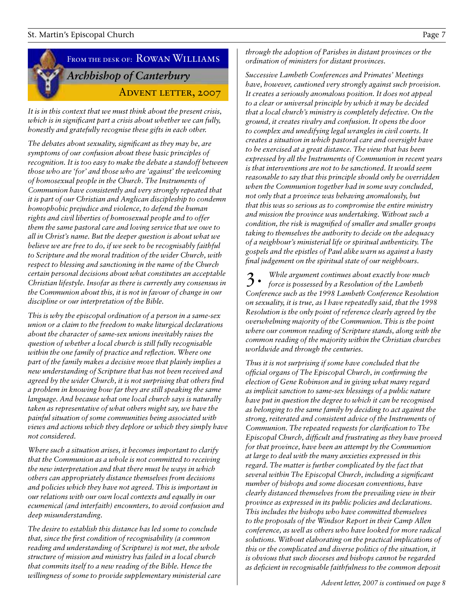## FROM THE DESK OF: ROWAN WILLIAMS *Archbishop of Canterbury* ADVENT LETTER, 2007

*It is in this context that we must think about the present crisis, which is in significant part a crisis about whether we can fully, honestly and gratefully recognise these gifts in each other.*

*The debates about sexuality, significant as they may be, are symptoms of our confusion about these basic principles of recognition. It is too easy to make the debate a standoff between those who are 'for' and those who are 'against' the welcoming of homosexual people in the Church. The Instruments of Communion have consistently and very strongly repeated that it is part of our Christian and Anglican discipleship to condemn homophobic prejudice and violence, to defend the human rights and civil liberties of homosexual people and to offer them the same pastoral care and loving service that we owe to all in Christ's name. But the deeper question is about what we believe we are free to do, if we seek to be recognisably faithful to Scripture and the moral tradition of the wider Church, with respect to blessing and sanctioning in the name of the Church certain personal decisions about what constitutes an acceptable Christian lifestyle. Insofar as there is currently any consensus in the Communion about this, it is not in favour of change in our discipline or our interpretation of the Bible.*

*This is why the episcopal ordination of a person in a same-sex union or a claim to the freedom to make liturgical declarations about the character of same-sex unions inevitably raises the question of whether a local church is still fully recognisable within the one family of practice and reflection. Where one part of the family makes a decisive move that plainly implies a new understanding of Scripture that has not been received and agreed by the wider Church, it is not surprising that others find a problem in knowing how far they are still speaking the same language. And because what one local church says is naturally taken as representative of what others might say, we have the painful situation of some communities being associated with views and actions which they deplore or which they simply have not considered.*

*Where such a situation arises, it becomes important to clarify that the Communion as a whole is not committed to receiving the new interpretation and that there must be ways in which others can appropriately distance themselves from decisions and policies which they have not agreed. This is important in our relations with our own local contexts and equally in our ecumenical (and interfaith) encounters, to avoid confusion and deep misunderstanding.*

*The desire to establish this distance has led some to conclude that, since the first condition of recognisability (a common reading and understanding of Scripture) is not met, the whole structure of mission and ministry has failed in a local church that commits itself to a new reading of the Bible. Hence the willingness of some to provide supplementary ministerial care*  *through the adoption of Parishes in distant provinces or the ordination of ministers for distant provinces.*

*Successive Lambeth Conferences and Primates' Meetings have, however, cautioned very strongly against such provision. It creates a seriously anomalous position. It does not appeal to a clear or universal principle by which it may be decided that a local church's ministry is completely defective. On the ground, it creates rivalry and confusion. It opens the door to complex and unedifying legal wrangles in civil courts. It creates a situation in which pastoral care and oversight have to be exercised at a great distance. The view that has been expressed by all the Instruments of Communion in recent years is that interventions are not to be sanctioned. It would seem reasonable to say that this principle should only be overridden when the Communion together had in some way concluded, not only that a province was behaving anomalously, but that this was so serious as to compromise the entire ministry and mission the province was undertaking. Without such a condition, the risk is magnified of smaller and smaller groups taking to themselves the authority to decide on the adequacy of a neighbour's ministerial life or spiritual authenticity. The gospels and the epistles of Paul alike warn us against a hasty final judgement on the spiritual state of our neighbours.*

3. *While argument continues about exactly how much force is possessed by a Resolution of the Lambeth Conference such as the 1998 Lambeth Conference Resolution on sexuality, it is true, as I have repeatedly said, that the 1998 Resolution is the only point of reference clearly agreed by the overwhelming majority of the Communion. This is the point where our common reading of Scripture stands, along with the common reading of the majority within the Christian churches worldwide and through the centuries.* 

*Thus it is not surprising if some have concluded that the official organs of The Episcopal Church, in confirming the election of Gene Robinson and in giving what many regard as implicit sanction to same-sex blessings of a public nature have put in question the degree to which it can be recognised as belonging to the same family by deciding to act against the strong, reiterated and consistent advice of the Instruments of Communion. The repeated requests for clarification to The Episcopal Church, difficult and frustrating as they have proved for that province, have been an attempt by the Communion at large to deal with the many anxieties expressed in this regard. The matter is further complicated by the fact that several within The Episcopal Church, including a significant number of bishops and some diocesan conventions, have clearly distanced themselves from the prevailing view in their province as expressed in its public policies and declarations. This includes the bishops who have committed themselves to the proposals of the Windsor Report in their Camp Allen conference, as well as others who have looked for more radical solutions. Without elaborating on the practical implications of this or the complicated and diverse politics of the situation, it is obvious that such dioceses and bishops cannot be regarded as deficient in recognisable faithfulness to the common deposit*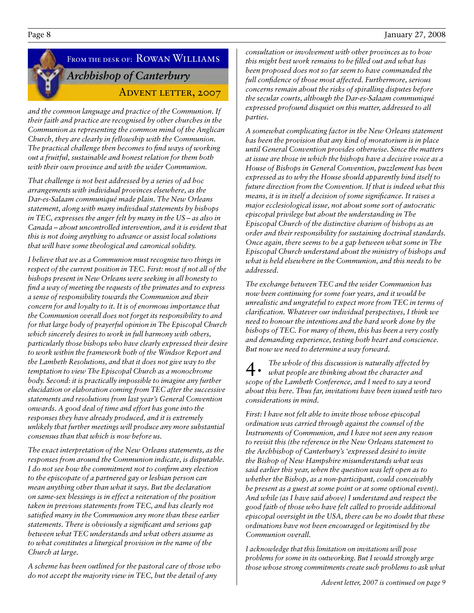#### Page 8 January 27, 2008

## FROM THE DESK OF: ROWAN WILLIAMS *Archbishop of Canterbury* ADVENT LETTER, 2007

*and the common language and practice of the Communion. If their faith and practice are recognised by other churches in the Communion as representing the common mind of the Anglican Church, they are clearly in fellowship with the Communion. The practical challenge then becomes to find ways of working out a fruitful, sustainable and honest relation for them both with their own province and with the wider Communion.* 

*That challenge is not best addressed by a series of ad hoc arrangements with individual provinces elsewhere, as the Dar-es-Salaam communiqué made plain. The New Orleans statement, along with many individual statements by bishops in TEC, expresses the anger felt by many in the US – as also in Canada – about uncontrolled intervention, and it is evident that this is not doing anything to advance or assist local solutions that will have some theological and canonical solidity.*

*I believe that we as a Communion must recognise two things in respect of the current position in TEC. First: most if not all of the bishops present in New Orleans were seeking in all honesty to find a way of meeting the requests of the primates and to express a sense of responsibility towards the Communion and their concern for and loyalty to it. It is of enormous importance that the Communion overall does not forget its responsibility to and for that large body of prayerful opinion in The Episcopal Church which sincerely desires to work in full harmony with others, particularly those bishops who have clearly expressed their desire to work within the framework both of the Windsor Report and the Lambeth Resolutions, and that it does not give way to the temptation to view The Episcopal Church as a monochrome body. Second: it is practically impossible to imagine any further elucidation or elaboration coming from TEC after the successive statements and resolutions from last year's General Convention onwards. A good deal of time and effort has gone into the responses they have already produced, and it is extremely unlikely that further meetings will produce any more substantial consensus than that which is now before us.* 

*The exact interpretation of the New Orleans statements, as the responses from around the Communion indicate, is disputable. I do not see how the commitment not to confirm any election to the episcopate of a partnered gay or lesbian person can mean anything other than what it says. But the declaration on same-sex blessings is in effect a reiteration of the position taken in previous statements from TEC, and has clearly not satisfied many in the Communion any more than these earlier statements. There is obviously a significant and serious gap between what TEC understands and what others assume as to what constitutes a liturgical provision in the name of the Church at large.* 

*A scheme has been outlined for the pastoral care of those who do not accept the majority view in TEC, but the detail of any* 

*consultation or involvement with other provinces as to how this might best work remains to be filled out and what has been proposed does not so far seem to have commanded the full confidence of those most affected. Furthermore, serious concerns remain about the risks of spiralling disputes before the secular courts, although the Dar-es-Salaam communiqué expressed profound disquiet on this matter, addressed to all parties.*

*A somewhat complicating factor in the New Orleans statement has been the provision that any kind of moratorium is in place until General Convention provides otherwise. Since the matters at issue are those in which the bishops have a decisive voice as a House of Bishops in General Convention, puzzlement has been expressed as to why the House should apparently bind itself to future direction from the Convention. If that is indeed what this means, it is in itself a decision of some significance. It raises a major ecclesiological issue, not about some sort of autocratic episcopal privilege but about the understanding in The Episcopal Church of the distinctive charism of bishops as an order and their responsibility for sustaining doctrinal standards. Once again, there seems to be a gap between what some in The Episcopal Church understand about the ministry of bishops and what is held elsewhere in the Communion, and this needs to be addressed.* 

*The exchange between TEC and the wider Communion has now been continuing for some four years, and it would be unrealistic and ungrateful to expect more from TEC in terms of clarification. Whatever our individual perspectives, I think we need to honour the intentions and the hard work done by the bishops of TEC. For many of them, this has been a very costly and demanding experience, testing both heart and conscience. But now we need to determine a way forward.*

4. *The whole of this discussion is naturally affected by what people are thinking about the character and scope of the Lambeth Conference, and I need to say a word about this here. Thus far, invitations have been issued with two considerations in mind.* 

*First: I have not felt able to invite those whose episcopal ordination was carried through against the counsel of the Instruments of Communion, and I have not seen any reason to revisit this (the reference in the New Orleans statement to the Archbishop of Canterbury's 'expressed desiré to invite the Bishop of New Hampshire misunderstands what was said earlier this year, when the question was left open as to whether the Bishop, as a non-participant, could conceivably be present as a guest at some point or at some optional event). And while (as I have said above) I understand and respect the good faith of those who have felt called to provide additional episcopal oversight in the USA, there can be no doubt that these ordinations have not been encouraged or legitimised by the Communion overall.* 

*I acknowledge that this limitation on invitations will pose problems for some in its outworking. But I would strongly urge those whose strong commitments create such problems to ask what*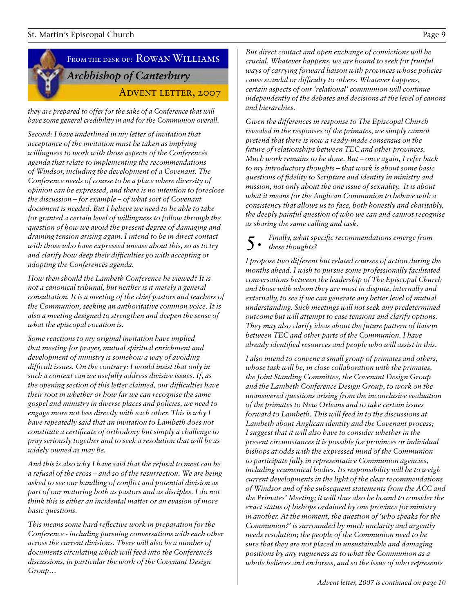## From the desk of: ROWAN WILLIAMS *Archbishop of Canterbury* ADVENT LETTER, 2007

*they are prepared to offer for the sake of a Conference that will have some general credibility in and for the Communion overall.*

*Second: I have underlined in my letter of invitation that acceptance of the invitation must be taken as implying willingness to work with those aspects of the Conferencés agenda that relate to implementing the recommendations of Windsor, including the development of a Covenant. The Conference needs of course to be a place where diversity of opinion can be expressed, and there is no intention to foreclose the discussion – for example – of what sort of Covenant document is needed. But I believe we need to be able to take for granted a certain level of willingness to follow through the question of how we avoid the present degree of damaging and draining tension arising again. I intend to be in direct contact with those who have expressed unease about this, so as to try and clarify how deep their difficulties go with accepting or adopting the Conferencés agenda.*

*How then should the Lambeth Conference be viewed? It is not a canonical tribunal, but neither is it merely a general consultation. It is a meeting of the chief pastors and teachers of the Communion, seeking an authoritative common voice. It is also a meeting designed to strengthen and deepen the sense of what the episcopal vocation is.*

*Some reactions to my original invitation have implied that meeting for prayer, mutual spiritual enrichment and development of ministry is somehow a way of avoiding difficult issues. On the contrary: I would insist that only in such a context can we usefully address divisive issues. If, as the opening section of this letter claimed, our difficulties have their root in whether or how far we can recognise the same gospel and ministry in diverse places and policies, we need to engage more not less directly with each other. This is why I have repeatedly said that an invitation to Lambeth does not constitute a certificate of orthodoxy but simply a challenge to pray seriously together and to seek a resolution that will be as widely owned as may be.*

*And this is also why I have said that the refusal to meet can be a refusal of the cross – and so of the resurrection. We are being asked to see our handling of conflict and potential division as part of our maturing both as pastors and as disciples. I do not think this is either an incidental matter or an evasion of more basic questions.*

*This means some hard reflective work in preparation for the Conference - including pursuing conversations with each other across the current divisions. There will also be a number of documents circulating which will feed into the Conferencés discussions, in particular the work of the Covenant Design Group…* 

*But direct contact and open exchange of convictions will be crucial. Whatever happens, we are bound to seek for fruitful ways of carrying forward liaison with provinces whose policies cause scandal or difficulty to others. Whatever happens, certain aspects of our 'relational' communion will continue independently of the debates and decisions at the level of canons and hierarchies.* 

*Given the differences in response to The Episcopal Church revealed in the responses of the primates, we simply cannot pretend that there is now a ready-made consensus on the future of relationships between TEC and other provinces. Much work remains to be done. But – once again, I refer back to my introductory thoughts – that work is about some basic questions of fidelity to Scripture and identity in ministry and mission, not only about the one issue of sexuality. It is about what it means for the Anglican Communion to behave with a consistency that allows us to face, both honestly and charitably, the deeply painful question of who we can and cannot recognise as sharing the same calling and task.*

5. *Finally, what specific recommendations emerge from these thoughts?* 

*I propose two different but related courses of action during the months ahead. I wish to pursue some professionally facilitated conversations between the leadership of The Episcopal Church and those with whom they are most in dispute, internally and externally, to see if we can generate any better level of mutual understanding. Such meetings will not seek any predetermined outcome but will attempt to ease tensions and clarify options. They may also clarify ideas about the future pattern of liaison between TEC and other parts of the Communion. I have already identified resources and people who will assist in this.*

*I also intend to convene a small group of primates and others, whose task will be, in close collaboration with the primates, the Joint Standing Committee, the Covenant Design Group and the Lambeth Conference Design Group, to work on the unanswered questions arising from the inconclusive evaluation of the primates to New Orleans and to take certain issues forward to Lambeth. This will feed in to the discussions at Lambeth about Anglican identity and the Covenant process; I suggest that it will also have to consider whether in the present circumstances it is possible for provinces or individual bishops at odds with the expressed mind of the Communion to participate fully in representative Communion agencies, including ecumenical bodies. Its responsibility will be to weigh current developments in the light of the clear recommendations of Windsor and of the subsequent statements from the ACC and the Primates' Meeting; it will thus also be bound to consider the exact status of bishops ordained by one province for ministry in another. At the moment, the question of 'who speaks for the Communion?' is surrounded by much unclarity and urgently needs resolution; the people of the Communion need to be sure that they are not placed in unsustainable and damaging positions by any vagueness as to what the Communion as a whole believes and endorses, and so the issue of who represents*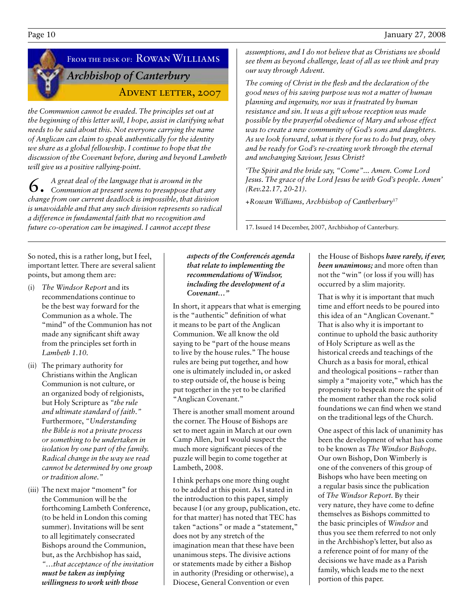#### Page 10 January 27, 2008

## FROM THE DESK OF: ROWAN WILLIAMS *Archbishop of Canterbury* ADVENT LETTER, 2007

*the Communion cannot be evaded. The principles set out at the beginning of this letter will, I hope, assist in clarifying what needs to be said about this. Not everyone carrying the name of Anglican can claim to speak authentically for the identity we share as a global fellowship. I continue to hope that the discussion of the Covenant before, during and beyond Lambeth will give us a positive rallying-point.*

6. *A great deal of the language that is around in the Communion at present seems to presuppose that any change from our current deadlock is impossible, that division is unavoidable and that any such division represents so radical a difference in fundamental faith that no recognition and future co-operation can be imagined. I cannot accept these* 

So noted, this is a rather long, but I feel, important letter. There are several salient points, but among them are:

- (i) *The Windsor Report* and its recommendations continue to be the best way forward for the Communion as a whole. The "mind" of the Communion has not made any significant shift away from the principles set forth in *Lambeth 1.10.*
- (ii) The primary authority for Christians within the Anglican Communion is not culture, or an organized body of relgionists, but Holy Scripture as *"the rule and ultimate standard of faith."*  Furthermore, *"Understanding the Bible is not a private process or something to be undertaken in isolation by one part of the family. Radical change in the way we read cannot be determined by one group or tradition alone."*
- (iii) The next major "moment" for the Communion will be the forthcoming Lambeth Conference, (to be held in London this coming summer). Invitations will be sent to all legitimately consecrated Bishops around the Communion, but, as the Archbishop has said, *"…that acceptance of the invitation must be taken as implying willingness to work with those*

#### *aspects of the Conferencés agenda that relate to implementing the recommendations of Windsor, including the development of a Covenant…"*

In short, it appears that what is emerging is the "authentic" definition of what it means to be part of the Anglican Communion. We all know the old saying to be "part of the house means to live by the house rules." The house rules are being put together, and how one is ultimately included in, or asked to step outside of, the house is being put together in the yet to be clarified "Anglican Covenant."

There is another small moment around the corner. The House of Bishops are set to meet again in March at our own Camp Allen, but I would suspect the much more significant pieces of the puzzle will begin to come together at Lambeth, 2008.

I think perhaps one more thing ought to be added at this point. As I stated in the introduction to this paper, simply because I (or any group, publication, etc. for that matter) has noted that TEC has taken "actions" or made a "statement," does not by any stretch of the imagination mean that these have been unanimous steps. The divisive actions or statements made by either a Bishop in authority (Presiding or otherwise), a Diocese, General Convention or even

*assumptions, and I do not believe that as Christians we should see them as beyond challenge, least of all as we think and pray our way through Advent.*

*The coming of Christ in the flesh and the declaration of the good news of his saving purpose was not a matter of human planning and ingenuity, nor was it frustrated by human resistance and sin. It was a gift whose reception was made possible by the prayerful obedience of Mary and whose effect was to create a new community of God's sons and daughters. As we look forward, what is there for us to do but pray, obey and be ready for God's re-creating work through the eternal and unchanging Saviour, Jesus Christ?*

*'The Spirit and the bride say, "Come"... Amen. Come Lord Jesus. The grace of the Lord Jesus be with God's people. Amen' (Rev.22.17, 20-21).*

*+Rowan Williams, Archbishop of Cantberbury*<sup>17</sup>

17. Issued 14 December, 2007, Archbishop of Canterbury.

the House of Bishops *have rarely, if ever, been unanimous;* and more often than not the "win" (or loss if you will) has occurred by a slim majority.

That is why it is important that much time and effort needs to be poured into this idea of an "Anglican Covenant." That is also why it is important to continue to uphold the basic authority of Holy Scripture as well as the historical creeds and teachings of the Church as a basis for moral, ethical and theological positions – rather than simply a "majority vote," which has the propensity to bespeak more the spirit of the moment rather than the rock solid foundations we can find when we stand on the traditional legs of the Church.

One aspect of this lack of unanimity has been the development of what has come to be known as *The Windsor Bishops.*  Our own Bishop, Don Wimberly is one of the conveners of this group of Bishops who have been meeting on a regular basis since the publication of *The Windsor Report.* By their very nature, they have come to define themselves as Bishops committed to the basic principles of *Windsor* and thus you see them referred to not only in the Archbishop's letter, but also as a reference point of for many of the decisions we have made as a Parish family, which leads me to the next portion of this paper.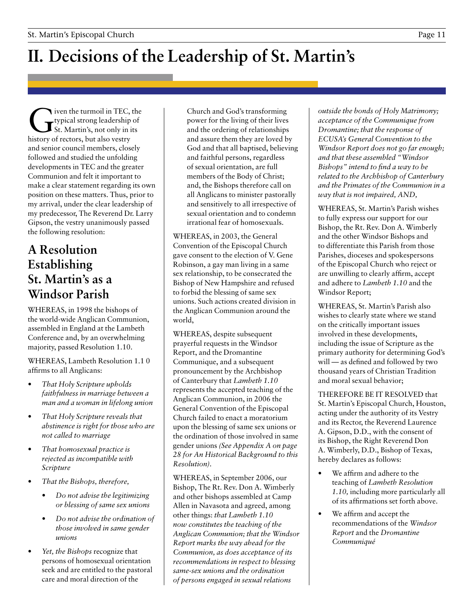# **II. Decisions of the Leadership of St. Martin's**

I iven the turmoil in TEC, the<br>typical strong leadership of<br>St. Martin's, not only in its typical strong leadership of St. Martin's, not only in its history of rectors, but also vestry and senior council members, closely followed and studied the unfolding developments in TEC and the greater Communion and felt it important to make a clear statement regarding its own position on these matters. Thus, prior to my arrival, under the clear leadership of my predecessor, The Reverend Dr. Larry Gipson, the vestry unanimously passed the following resolution:

### **A Resolution Establishing St. Martin's as a Windsor Parish**

WHEREAS, in 1998 the bishops of the world-wide Anglican Communion, assembled in England at the Lambeth Conference and, by an overwhelming majority, passed Resolution 1.10.

WHEREAS, Lambeth Resolution 1.1 0 affirms to all Anglicans:

- *• That Holy Scripture upholds faithfulness in marriage between a man and a woman in lifelong union*
- *• That Holy Scripture reveals that abstinence is right for those who are not called to marriage*
- *• That homosexual practice is rejected as incompatible with Scripture*
- *• That the Bishops, therefore,*
	- *• Do not advise the legitimizing or blessing of same sex unions*
	- *• Do not advise the ordination of those involved in same gender unions*
- *• Yet, the Bishops* recognize that persons of homosexual orientation seek and are entitled to the pastoral care and moral direction of the

Church and God's transforming power for the living of their lives and the ordering of relationships and assure them they are loved by God and that all baptised, believing and faithful persons, regardless of sexual orientation, are full members of the Body of Christ; and, the Bishops therefore call on all Anglicans to minister pastorally and sensitively to all irrespective of sexual orientation and to condemn irrational fear of homosexuals.

WHEREAS, in 2003, the General Convention of the Episcopal Church gave consent to the election of V. Gene Robinson, a gay man living in a same sex relationship, to be consecrated the Bishop of New Hampshire and refused to forbid the blessing of same sex unions. Such actions created division in the Anglican Communion around the world,

WHEREAS, despite subsequent prayerful requests in the Windsor Report, and the Dromantine Communique, and a subsequent pronouncement by the Archbishop of Canterbury that *Lambeth 1.10*  represents the accepted teaching of the Anglican Communion, in 2006 the General Convention of the Episcopal Church failed to enact a moratorium upon the blessing of same sex unions or the ordination of those involved in same gender unions *(See Appendix A on page 28 for An Historical Background to this Resolution).*

WHEREAS, in September 2006, our Bishop, The Rt. Rev. Don A. Wimberly and other bishops assembled at Camp Allen in Navasota and agreed, among other things: *that Lambeth 1.10 now constitutes the teaching of the Anglican Communion; that the Windsor Report marks the way ahead for the Communion, as does acceptance of its recommendations in respect to blessing same-sex unions and the ordination of persons engaged in sexual relations* 

*outside the bonds of Holy Matrimony; acceptance of the Communique from Dromantine; that the response of ECUSA's General Convention to the Windsor Report does not go far enough; and that these assembled "Windsor Bishops" intend to find a way to be related to the Archbishop of Canterbury and the Primates of the Communion in a way that is not impaired, AND,*

WHEREAS, St. Martin's Parish wishes to fully express our support for our Bishop, the Rt. Rev. Don A. Wimberly and the other Windsor Bishops and to differentiate this Parish from those Parishes, dioceses and spokespersons of the Episcopal Church who reject or are unwilling to clearly affirm, accept and adhere to *Lambeth 1.10* and the Windsor Report;

WHEREAS, St. Martin's Parish also wishes to clearly state where we stand on the critically important issues involved in these developments, including the issue of Scripture as the primary authority for determining God's will — as defined and followed by two thousand years of Christian Tradition and moral sexual behavior;

THEREFORE BE IT RESOLVED that St. Martin's Episcopal Church, Houston, acting under the authority of its Vestry and its Rector, the Reverend Laurence A. Gipson, D.D., with the consent of its Bishop, the Right Reverend Don A. Wimberly, D.D., Bishop of Texas, hereby declares as follows:

- We affirm and adhere to the teaching of *Lambeth Resolution 1.10,* including more particularly all of its affirmations set forth above.
- We affirm and accept the recommendations of the *Windsor Report* and the *Dromantine Communiqué*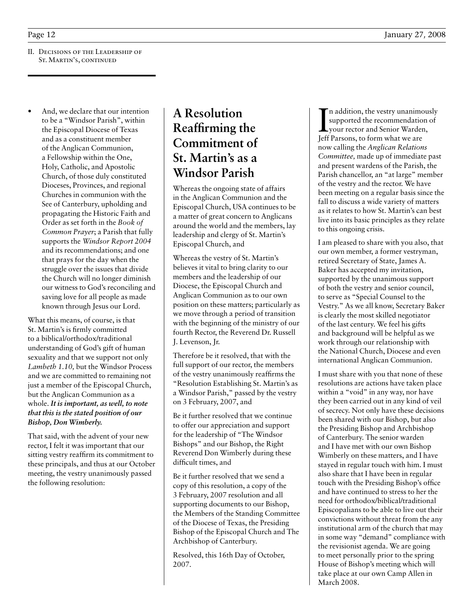#### II. Decisions of the Leadership of St. Martin's, continued

And, we declare that our intention to be a "Windsor Parish", within the Episcopal Diocese of Texas and as a constituent member of the Anglican Communion, a Fellowship within the One, Holy, Catholic, and Apostolic Church, of those duly constituted Dioceses, Provinces, and regional Churches in communion with the See of Canterbury, upholding and propagating the Historic Faith and Order as set forth in the *Book of Common Prayer*; a Parish that fully supports the *Windsor Report 2004*  and its recommendations; and one that prays for the day when the struggle over the issues that divide the Church will no longer diminish our witness to God's reconciling and saving love for all people as made known through Jesus our Lord.

What this means, of course, is that St. Martin's is firmly committed to a biblical/orthodox/traditional understanding of God's gift of human sexuality and that we support not only *Lambeth 1.10,* but the Windsor Process and we are committed to remaining not just a member of the Episcopal Church, but the Anglican Communion as a whole. *It is important, as well, to note that this is the stated position of our Bishop, Don Wimberly.*

That said, with the advent of your new rector, I felt it was important that our sitting vestry reaffirm its commitment to these principals, and thus at our October meeting, the vestry unanimously passed the following resolution:

### **A Resolution Reaffirming the Commitment of St. Martin's as a Windsor Parish**

Whereas the ongoing state of affairs in the Anglican Communion and the Episcopal Church, USA continues to be a matter of great concern to Anglicans around the world and the members, lay leadership and clergy of St. Martin's Episcopal Church, and

Whereas the vestry of St. Martin's believes it vital to bring clarity to our members and the leadership of our Diocese, the Episcopal Church and Anglican Communion as to our own position on these matters; particularly as we move through a period of transition with the beginning of the ministry of our fourth Rector, the Reverend Dr. Russell J. Levenson, Jr.

Therefore be it resolved, that with the full support of our rector, the members of the vestry unanimously reaffirms the "Resolution Establishing St. Martin's as a Windsor Parish," passed by the vestry on 3 February, 2007, and

Be it further resolved that we continue to offer our appreciation and support for the leadership of "The Windsor Bishops" and our Bishop, the Right Reverend Don Wimberly during these difficult times, and

Be it further resolved that we send a copy of this resolution, a copy of the 3 February, 2007 resolution and all supporting documents to our Bishop, the Members of the Standing Committee of the Diocese of Texas, the Presiding Bishop of the Episcopal Church and The Archbishop of Canterbury.

Resolved, this 16th Day of October, 2007.

In addition, the vestry unanimous<br>supported the recommendation<br>your rector and Senior Warden, n addition, the vestry unanimously supported the recommendation of Jeff Parsons, to form what we are now calling the *Anglican Relations Committee,* made up of immediate past and present wardens of the Parish, the Parish chancellor, an "at large" member of the vestry and the rector. We have been meeting on a regular basis since the fall to discuss a wide variety of matters as it relates to how St. Martin's can best live into its basic principles as they relate to this ongoing crisis.

I am pleased to share with you also, that our own member, a former vestryman, retired Secretary of State, James A. Baker has accepted my invitation, supported by the unanimous support of both the vestry and senior council, to serve as "Special Counsel to the Vestry." As we all know, Secretary Baker is clearly the most skilled negotiator of the last century. We feel his gifts and background will be helpful as we work through our relationship with the National Church, Diocese and even international Anglican Communion.

I must share with you that none of these resolutions are actions have taken place within a "void" in any way, nor have they been carried out in any kind of veil of secrecy. Not only have these decisions been shared with our Bishop, but also the Presiding Bishop and Archbishop of Canterbury. The senior warden and I have met with our own Bishop Wimberly on these matters, and I have stayed in regular touch with him. I must also share that I have been in regular touch with the Presiding Bishop's office and have continued to stress to her the need for orthodox/biblical/traditional Episcopalians to be able to live out their convictions without threat from the any institutional arm of the church that may in some way "demand" compliance with the revisionist agenda. We are going to meet personally prior to the spring House of Bishop's meeting which will take place at our own Camp Allen in March 2008.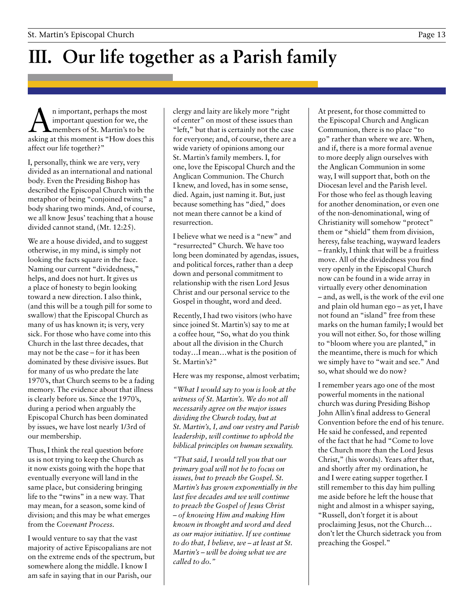# **III. Our life together as a Parish family**

n important, perhaps the most important question for we, the members of St. Martin's to be asking at this moment is "How does this affect our life together?"

I, personally, think we are very, very divided as an international and national body. Even the Presiding Bishop has described the Episcopal Church with the metaphor of being "conjoined twins;" a body sharing two minds. And, of course, we all know Jesus' teaching that a house divided cannot stand, (Mt. 12:25).

We are a house divided, and to suggest otherwise, in my mind, is simply not looking the facts square in the face. Naming our current "dividedness," helps, and does not hurt. It gives us a place of honesty to begin looking toward a new direction. I also think, (and this will be a tough pill for some to swallow) that the Episcopal Church as many of us has known it; is very, very sick. For those who have come into this Church in the last three decades, that may not be the case – for it has been dominated by these divisive issues. But for many of us who predate the late 1970's, that Church seems to be a fading memory. The evidence about that illness is clearly before us. Since the 1970's, during a period when arguably the Episcopal Church has been dominated by issues, we have lost nearly 1/3rd of our membership.

Thus, I think the real question before us is not trying to keep the Church as it now exists going with the hope that eventually everyone will land in the same place, but considering bringing life to the "twins" in a new way. That may mean, for a season, some kind of division; and this may be what emerges from the *Covenant Process.*

I would venture to say that the vast majority of active Episcopalians are not on the extreme ends of the spectrum, but somewhere along the middle. I know I am safe in saying that in our Parish, our

clergy and laity are likely more "right of center" on most of these issues than "left," but that is certainly not the case for everyone; and, of course, there are a wide variety of opinions among our St. Martin's family members. I, for one, love the Episcopal Church and the Anglican Communion. The Church I knew, and loved, has in some sense, died. Again, just naming it. But, just because something has "died," does not mean there cannot be a kind of resurrection.

I believe what we need is a "new" and "resurrected" Church. We have too long been dominated by agendas, issues, and political forces, rather than a deep down and personal commitment to relationship with the risen Lord Jesus Christ and our personal service to the Gospel in thought, word and deed.

Recently, I had two visitors (who have since joined St. Martin's) say to me at a coffee hour, "So, what do you think about all the division in the Church today…I mean…what is the position of St. Martin's?"

Here was my response, almost verbatim;

*"What I would say to you is look at the witness of St. Martin's. We do not all necessarily agree on the major issues dividing the Church today, but at St. Martin's, I, and our vestry and Parish leadership, will continue to uphold the biblical principles on human sexuality.* 

*"That said, I would tell you that our primary goal will not be to focus on issues, but to preach the Gospel. St. Martin's has grown exponentially in the last five decades and we will continue to preach the Gospel of Jesus Christ – of knowing Him and making Him known in thought and word and deed as our major initiative. If we continue to do that, I believe, we – at least at St. Martin's – will be doing what we are called to do."*

At present, for those committed to the Episcopal Church and Anglican Communion, there is no place "to go" rather than where we are. When, and if, there is a more formal avenue to more deeply align ourselves with the Anglican Communion in some way, I will support that, both on the Diocesan level and the Parish level. For those who feel as though leaving for another denomination, or even one of the non-denominational, wing of Christianity will somehow "protect" them or "shield" them from division, heresy, false teaching, wayward leaders – frankly, I think that will be a fruitless move. All of the dividedness you find very openly in the Episcopal Church now can be found in a wide array in virtually every other denomination – and, as well, is the work of the evil one and plain old human ego – as yet, I have not found an "island" free from these marks on the human family; I would bet you will not either. So, for those willing to "bloom where you are planted," in the meantime, there is much for which we simply have to "wait and see." And so, what should we do now?

I remember years ago one of the most powerful moments in the national church was during Presiding Bishop John Allin's final address to General Convention before the end of his tenure. He said he confessed, and repented of the fact that he had "Come to love the Church more than the Lord Jesus Christ," (his words). Years after that, and shortly after my ordination, he and I were eating supper together. I still remember to this day him pulling me aside before he left the house that night and almost in a whisper saying, "Russell, don't forget it is about proclaiming Jesus, not the Church… don't let the Church sidetrack you from preaching the Gospel."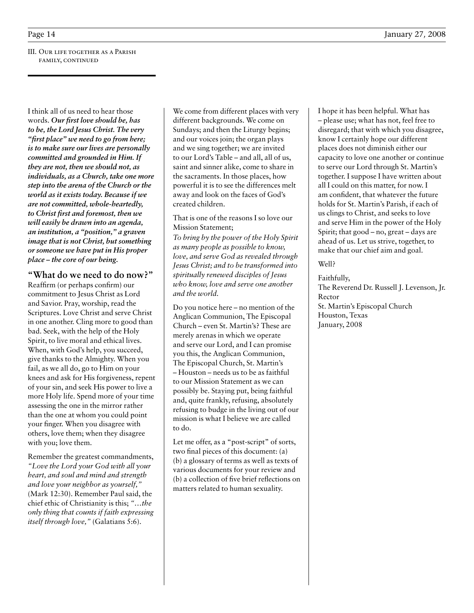#### III. Our life together as a Parish FAMILY, CONTINUED

I think all of us need to hear those words. *Our first love should be, has to be, the Lord Jesus Christ. The very "first place" we need to go from here; is to make sure our lives are personally committed and grounded in Him. If they are not, then we should not, as individuals, as a Church, take one more step into the arena of the Church or the world as it exists today. Because if we are not committed, whole-heartedly, to Christ first and foremost, then we will easily be drawn into an agenda, an institution, a "position," a graven image that is not Christ, but something or someone we have put in His proper place – the core of our being.*

#### **"What do we need to do now?"**

Reaffirm (or perhaps confirm) our commitment to Jesus Christ as Lord and Savior. Pray, worship, read the Scriptures. Love Christ and serve Christ in one another. Cling more to good than bad. Seek, with the help of the Holy Spirit, to live moral and ethical lives. When, with God's help, you succeed, give thanks to the Almighty. When you fail, as we all do, go to Him on your knees and ask for His forgiveness, repent of your sin, and seek His power to live a more Holy life. Spend more of your time assessing the one in the mirror rather than the one at whom you could point your finger. When you disagree with others, love them; when they disagree with you; love them.

Remember the greatest commandments, *"Love the Lord your God with all your heart, and soul and mind and strength and love your neighbor as yourself,"*  (Mark 12:30). Remember Paul said, the chief ethic of Christianity is this; *"…the only thing that counts if faith expressing itself through love,"* (Galatians 5:6).

We come from different places with very different backgrounds. We come on Sundays; and then the Liturgy begins; and our voices join; the organ plays and we sing together; we are invited to our Lord's Table – and all, all of us, saint and sinner alike, come to share in the sacraments. In those places, how powerful it is to see the differences melt away and look on the faces of God's created children.

That is one of the reasons I so love our Mission Statement;

*To bring by the power of the Holy Spirit as many people as possible to know, love, and serve God as revealed through Jesus Christ; and to be transformed into spiritually renewed disciples of Jesus who know, love and serve one another and the world.*

Do you notice here – no mention of the Anglican Communion, The Episcopal Church – even St. Martin's? These are merely arenas in which we operate and serve our Lord, and I can promise you this, the Anglican Communion, The Episcopal Church, St. Martin's – Houston – needs us to be as faithful to our Mission Statement as we can possibly be. Staying put, being faithful and, quite frankly, refusing, absolutely refusing to budge in the living out of our mission is what I believe we are called to do.

Let me offer, as a "post-script" of sorts, two final pieces of this document: (a) (b) a glossary of terms as well as texts of various documents for your review and (b) a collection of five brief reflections on matters related to human sexuality.

I hope it has been helpful. What has – please use; what has not, feel free to disregard; that with which you disagree, know I certainly hope our different places does not diminish either our capacity to love one another or continue to serve our Lord through St. Martin's together. I suppose I have written about all I could on this matter, for now. I am confident, that whatever the future holds for St. Martin's Parish, if each of us clings to Christ, and seeks to love and serve Him in the power of the Holy Spirit; that good – no, great – days are ahead of us. Let us strive, together, to make that our chief aim and goal.

#### Well?

Faithfully, The Reverend Dr. Russell J. Levenson, Jr. Rector St. Martin's Episcopal Church Houston, Texas January, 2008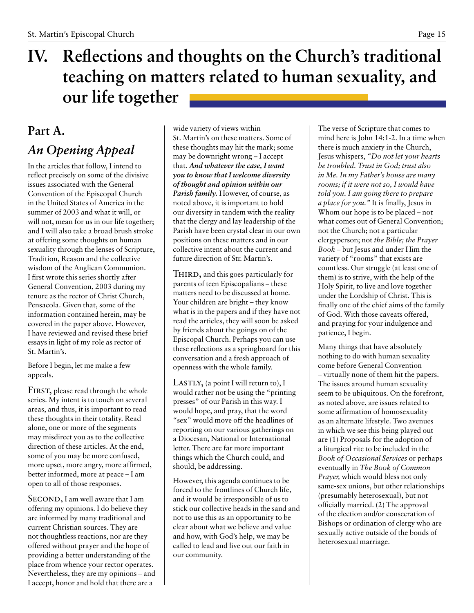## **Part A.** *An Opening Appeal*

In the articles that follow, I intend to reflect precisely on some of the divisive issues associated with the General Convention of the Episcopal Church in the United States of America in the summer of 2003 and what it will, or will not, mean for us in our life together; and I will also take a broad brush stroke at offering some thoughts on human sexuality through the lenses of Scripture, Tradition, Reason and the collective wisdom of the Anglican Communion. I first wrote this series shortly after General Convention, 2003 during my tenure as the rector of Christ Church, Pensacola. Given that, some of the information contained herein, may be covered in the paper above. However, I have reviewed and revised these brief essays in light of my role as rector of St. Martin's.

Before I begin, let me make a few appeals.

FIRST, please read through the whole series. My intent is to touch on several areas, and thus, it is important to read these thoughts in their totality. Read alone, one or more of the segments may misdirect you as to the collective direction of these articles. At the end, some of you may be more confused, more upset, more angry, more affirmed, better informed, more at peace – I am open to all of those responses.

SECOND, I am well aware that I am offering my opinions. I do believe they are informed by many traditional and current Christian sources. They are not thoughtless reactions, nor are they offered without prayer and the hope of providing a better understanding of the place from whence your rector operates. Nevertheless, they are my opinions – and I accept, honor and hold that there are a

wide variety of views within St. Martin's on these matters. Some of these thoughts may hit the mark; some may be downright wrong – I accept that. *And whatever the case, I want you to know that I welcome diversity of thought and opinion within our Parish family.* However, of course, as noted above, it is important to hold our diversity in tandem with the reality that the clergy and lay leadership of the Parish have been crystal clear in our own positions on these matters and in our collective intent about the current and future direction of Str. Martin's.

THIRD, and this goes particularly for parents of teen Episcopalians – these matters need to be discussed at home. Your children are bright – they know what is in the papers and if they have not read the articles, they will soon be asked by friends about the goings on of the Episcopal Church. Perhaps you can use these reflections as a springboard for this conversation and a fresh approach of openness with the whole family.

LASTLY, (a point I will return to), I would rather not be using the "printing presses" of our Parish in this way. I would hope, and pray, that the word "sex" would move off the headlines of reporting on our various gatherings on a Diocesan, National or International letter. There are far more important things which the Church could, and should, be addressing.

However, this agenda continues to be forced to the frontlines of Church life, and it would be irresponsible of us to stick our collective heads in the sand and not to use this as an opportunity to be clear about what we believe and value and how, with God's help, we may be called to lead and live out our faith in our community.

The verse of Scripture that comes to mind here is John 14:1-2. In a time when there is much anxiety in the Church, Jesus whispers, *"Do not let your hearts be troubled. Trust in God; trust also in Me. In my Father's house are many rooms; if it were not so, I would have told you. I am going there to prepare a place for you."* It is finally, Jesus in Whom our hope is to be placed – not what comes out of General Convention; not the Church; not a particular clergyperson; not *the Bible; the Prayer Book* – but Jesus and under Him the variety of "rooms" that exists are countless. Our struggle (at least one of them) is to strive, with the help of the Holy Spirit, to live and love together under the Lordship of Christ. This is finally one of the chief aims of the family of God. With those caveats offered, and praying for your indulgence and patience, I begin.

Many things that have absolutely nothing to do with human sexuality come before General Convention – virtually none of them hit the papers. The issues around human sexuality seem to be ubiquitous. On the forefront, as noted above, are issues related to some affirmation of homosexuality as an alternate lifestyle. Two avenues in which we see this being played out are (1) Proposals for the adoption of a liturgical rite to be included in the *Book of Occasional Services* or perhaps eventually in *The Book of Common Prayer,* which would bless not only same-sex unions, but other relationships (presumably heterosexual), but not officially married. (2) The approval of the election and/or consecration of Bishops or ordination of clergy who are sexually active outside of the bonds of heterosexual marriage.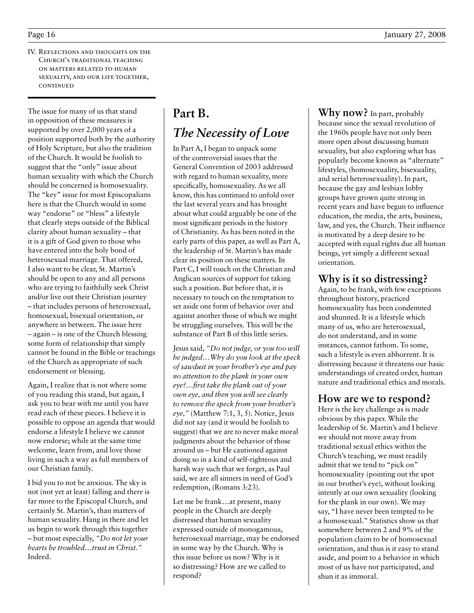IV. Reflections and thoughts on the

Church's traditional teaching on matters related to human sexuality, and our life together, **CONTINUED** 

The issue for many of us that stand in opposition of these measures is supported by over 2,000 years of a position supported both by the authority of Holy Scripture, but also the tradition of the Church. It would be foolish to suggest that the "only" issue about human sexuality with which the Church should be concerned is homosexuality. The "key" issue for most Episcopalians here is that the Church would in some way "endorse" or "bless" a lifestyle that clearly steps outside of the Biblical clarity about human sexuality – that it is a gift of God given to those who have entered into the holy bond of heterosexual marriage. That offered, I also want to be clear, St. Martin's should be open to any and all persons who are trying to faithfully seek Christ and/or live out their Christian journey – that includes persons of heterosexual, homosexual, bisexual orientation, or anywhere in between. The issue here – again – is one of the Church blessing some form of relationship that simply cannot be found in the Bible or teachings of the Church as appropriate of such endorsement or blessing.

Again, I realize that is not where some of you reading this stand, but again, I ask you to bear with me until you have read each of these pieces. I believe it is possible to oppose an agenda that would endorse a lifestyle I believe we cannot now endorse; while at the same time welcome, learn from, and love those living in such a way as full members of our Christian family.

I bid you to not be anxious. The sky is not (not yet at least) falling and there is far more to the Episcopal Church, and certainly St. Martin's, than matters of human sexuality. Hang in there and let us begin to work through this together – but most especially, *"Do not let your hearts be troubled…trust in Christ."* Indeed.

## **Part B.** *The Necessity of Love*

In Part A, I began to unpack some of the controversial issues that the General Convention of 2003 addressed with regard to human sexuality, more specifically, homosexuality. As we all know, this has continued to unfold over the last several years and has brought about what could arguably be one of the most significant periods in the history of Christianity. As has been noted in the early parts of this paper, as well as Part A, the leadership of St. Martin's has made clear its position on these matters. In Part C, I will touch on the Christian and Anglican sources of support for taking such a position. But before that, it is necessary to touch on the temptation to set aside one form of behavior over and against another those of which we might be struggling ourselves. This will be the substance of Part B of this little series.

Jesus said, *"Do not judge, or you too will be judged…Why do you look at the speck of sawdust in your brother's eye and pay no attention to the plank in your own eye?…first take the plank out of your own eye, and then you will see clearly to remove the speck from your brother's eye,"* (Matthew 7:1, 3, 5). Notice, Jesus did not say (and it would be foolish to suggest) that we are to never make moral judgments about the behavior of those around us – but He cautioned against doing so in a kind of self-righteous and harsh way such that we forget, as Paul said, we are all sinners in need of God's redemption, (Romans 3:23).

Let me be frank…at present, many people in the Church are deeply distressed that human sexuality expressed outside of monogamous, heterosexual marriage, may be endorsed in some way by the Church. Why is this issue before us now? Why is it so distressing? How are we called to respond?

**Why now?** In part, probably because since the sexual revolution of the 1960s people have not only been more open about discussing human sexuality, but also exploring what has popularly become known as "alternate" lifestyles, (homosexuality, bisexuality, and serial heterosexuality). In part, because the gay and lesbian lobby groups have grown quite strong in recent years and have begun to influence education, the media, the arts, business, law, and yes, the Church. Their influence is motivated by a deep desire to be accepted with equal rights due all human beings, yet simply a different sexual orientation.

### **Why is it so distressing?**

Again, to be frank, with few exceptions throughout history, practiced homosexuality has been condemned and shunned. It is a lifestyle which many of us, who are heterosexual, do not understand, and in some instances, cannot fathom. To some, such a lifestyle is even abhorrent. It is distressing because it threatens our basic understandings of created order, human nature and traditional ethics and morals.

### **How are we to respond?**

Here is the key challenge as is made obvious by this paper. While the leadership of St. Martin's and I believe we should not move away from traditional sexual ethics within the Church's teaching, we must readily admit that we tend to "pick on" homosexuality (pointing out the spot in our brother's eye), without looking intently at our own sexuality (looking for the plank in our own). We may say, "I have never been tempted to be a homosexual." Statistics show us that somewhere between 2 and 9% of the population claim to be of homosexual orientation, and thus is it easy to stand aside, and point to a behavior in which most of us have not participated, and shun it as immoral.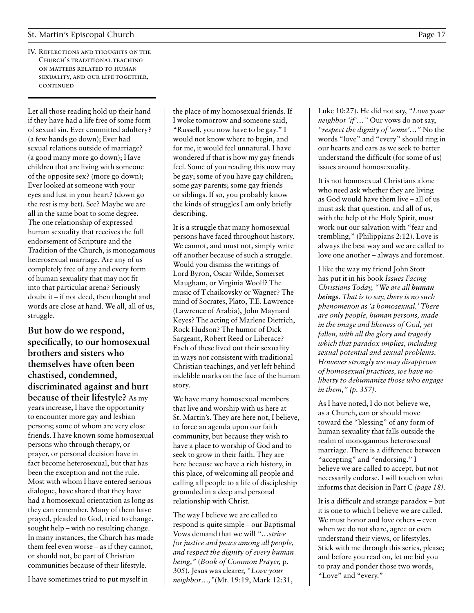#### St. Martin's Episcopal Church **Page 17** and the extent of the extent of the extent of the extent of the extent of the extent of the extent of the extent of the extent of the extent of the extent of the extent of the extent

IV. Reflections and thoughts on the Church's traditional teaching on matters related to human sexuality, and our life together, **CONTINUED** 

Let all those reading hold up their hand if they have had a life free of some form of sexual sin. Ever committed adultery? (a few hands go down); Ever had sexual relations outside of marriage? (a good many more go down); Have children that are living with someone of the opposite sex? (more go down); Ever looked at someone with your eyes and lust in your heart? (down go the rest is my bet). See? Maybe we are all in the same boat to some degree. The one relationship of expressed human sexuality that receives the full endorsement of Scripture and the Tradition of the Church, is monogamous heterosexual marriage. Are any of us completely free of any and every form of human sexuality that may not fit into that particular arena? Seriously doubt it – if not deed, then thought and words are close at hand. We all, all of us, struggle.

**But how do we respond, specifically, to our homosexual brothers and sisters who themselves have often been chastised, condemned, discriminated against and hurt because of their lifestyle?** As my years increase, I have the opportunity to encounter more gay and lesbian persons; some of whom are very close friends. I have known some homosexual persons who through therapy, or prayer, or personal decision have in fact become heterosexual, but that has been the exception and not the rule. Most with whom I have entered serious dialogue, have shared that they have had a homosexual orientation as long as they can remember. Many of them have prayed, pleaded to God, tried to change, sought help – with no resulting change. In many instances, the Church has made them feel even worse – as if they cannot, or should not, be part of Christian communities because of their lifestyle.

I have sometimes tried to put myself in

the place of my homosexual friends. If I woke tomorrow and someone said, "Russell, you now have to be gay." I would not know where to begin, and for me, it would feel unnatural. I have wondered if that is how my gay friends feel. Some of you reading this now may be gay; some of you have gay children; some gay parents; some gay friends or siblings. If so, you probably know the kinds of struggles I am only briefly describing.

It is a struggle that many homosexual persons have faced throughout history. We cannot, and must not, simply write off another because of such a struggle. Would you dismiss the writings of Lord Byron, Oscar Wilde, Somerset Maugham, or Virginia Woolf? The music of Tchaikovsky or Wagner? The mind of Socrates, Plato, T.E. Lawrence (Lawrence of Arabia), John Maynard Keyes? The acting of Marlene Dietrich, Rock Hudson? The humor of Dick Sargeant, Robert Reed or Liberace? Each of these lived out their sexuality in ways not consistent with traditional Christian teachings, and yet left behind indelible marks on the face of the human story.

We have many homosexual members that live and worship with us here at St. Martin's. They are here not, I believe, to force an agenda upon our faith community, but because they wish to have a place to worship of God and to seek to grow in their faith. They are here because we have a rich history, in this place, of welcoming all people and calling all people to a life of discipleship grounded in a deep and personal relationship with Christ.

The way I believe we are called to respond is quite simple – our Baptismal Vows demand that we will *"…strive for justice and peace among all people, and respect the dignity of every human being,"* (*Book of Common Prayer,* p. 305). Jesus was clearer, *"Love your neighbor…,"*(Mt. 19:19, Mark 12:31,

Luke 10:27). He did not say, *"Love your neighbor 'if'…"* Our vows do not say, *"respect the dignity of 'some'…"* No the words "love" and "every" should ring in our hearts and ears as we seek to better understand the difficult (for some of us) issues around homosexuality.

It is not homosexual Christians alone who need ask whether they are living as God would have them live – all of us must ask that question, and all of us, with the help of the Holy Spirit, must work out our salvation with "fear and trembling," (Philippians 2:12). Love is always the best way and we are called to love one another – always and foremost.

I like the way my friend John Stott has put it in his book *Issues Facing Christians Today, "We are all human beings. That is to say, there is no such phenomenon as 'a homosexual.' There are only people, human persons, made in the image and likeness of God, yet fallen, with all the glory and tragedy which that paradox implies, including sexual potential and sexual problems. However strongly we may disapprove of homosexual practices, we have no liberty to dehumanize those who engage in them," (p. 357).*

As I have noted, I do not believe we, as a Church, can or should move toward the "blessing" of any form of human sexuality that falls outside the realm of monogamous heterosexual marriage. There is a difference between "accepting" and "endorsing." I believe we are called to accept, but not necessarily endorse. I will touch on what informs that decision in Part C *(page 18).*

It is a difficult and strange paradox – but it is one to which I believe we are called. We must honor and love others – even when we do not share, agree or even understand their views, or lifestyles. Stick with me through this series, please; and before you read on, let me bid you to pray and ponder those two words, "Love" and "every."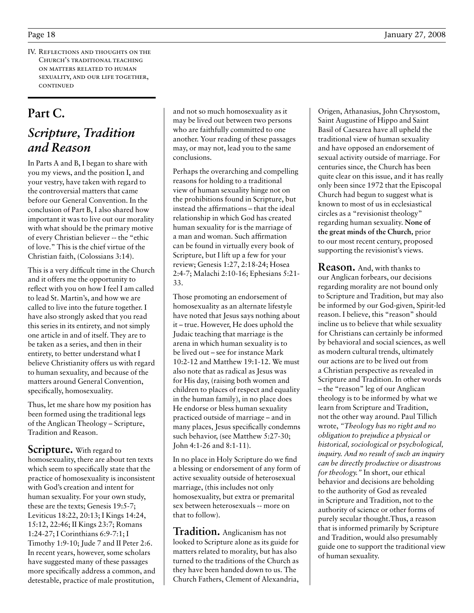### **Part C.** *Scripture, Tradition and Reason*

In Parts A and B, I began to share with you my views, and the position I, and your vestry, have taken with regard to the controversial matters that came before our General Convention. In the conclusion of Part B, I also shared how important it was to live out our morality with what should be the primary motive of every Christian believer -- the "ethic of love." This is the chief virtue of the Christian faith, (Colossians 3:14).

This is a very difficult time in the Church and it offers me the opportunity to reflect with you on how I feel I am called to lead St. Martin's, and how we are called to live into the future together. I have also strongly asked that you read this series in its entirety, and not simply one article in and of itself. They are to be taken as a series, and then in their entirety, to better understand what I believe Christianity offers us with regard to human sexuality, and because of the matters around General Convention, specifically, homosexuality.

Thus, let me share how my position has been formed using the traditional legs of the Anglican Theology – Scripture, Tradition and Reason.

**Scripture.** With regard to homosexuality, there are about ten texts which seem to specifically state that the practice of homosexuality is inconsistent with God's creation and intent for human sexuality. For your own study, these are the texts; Genesis 19:5-7; Leviticus 18:22, 20:13; I Kings 14:24, 15:12, 22:46; II Kings 23:7; Romans 1:24-27; I Corinthians 6:9-7:1; I Timothy 1:9-10; Jude 7 and II Peter 2:6. In recent years, however, some scholars have suggested many of these passages more specifically address a common, and detestable, practice of male prostitution,

and not so much homosexuality as it may be lived out between two persons who are faithfully committed to one another. Your reading of these passages may, or may not, lead you to the same conclusions.

Perhaps the overarching and compelling reasons for holding to a traditional view of human sexuality hinge not on the prohibitions found in Scripture, but instead the affirmations – that the ideal relationship in which God has created human sexuality for is the marriage of a man and woman. Such affirmation can be found in virtually every book of Scripture, but I lift up a few for your review; Genesis 1:27, 2:18-24; Hosea 2:4-7; Malachi 2:10-16; Ephesians 5:21- 33.

Those promoting an endorsement of homosexuality as an alternate lifestyle have noted that Jesus says nothing about it – true. However, He does uphold the Judaic teaching that marriage is the arena in which human sexuality is to be lived out – see for instance Mark 10:2-12 and Matthew 19:1-12. We must also note that as radical as Jesus was for His day, (raising both women and children to places of respect and equality in the human family), in no place does He endorse or bless human sexuality practiced outside of marriage – and in many places, Jesus specifically condemns such behavior, (see Matthew 5:27-30; John 4:1-26 and 8:1-11).

In no place in Holy Scripture do we find a blessing or endorsement of any form of active sexuality outside of heterosexual marriage, (this includes not only homosexuality, but extra or premarital sex between heterosexuals -- more on that to follow).

**Tradition.** Anglicanism has not looked to Scripture alone as its guide for matters related to morality, but has also turned to the traditions of the Church as they have been handed down to us. The Church Fathers, Clement of Alexandria, Origen, Athanasius, John Chrysostom, Saint Augustine of Hippo and Saint Basil of Caesarea have all upheld the traditional view of human sexuality and have opposed an endorsement of sexual activity outside of marriage. For centuries since, the Church has been quite clear on this issue, and it has really only been since 1972 that the Episcopal Church had begun to suggest what is known to most of us in ecclesiastical circles as a "revisionist theology" regarding human sexuality. **None of the great minds of the Church,** prior to our most recent century, proposed supporting the revisionist's views.

**Reason.** And, with thanks to our Anglican forbears, our decisions regarding morality are not bound only to Scripture and Tradition, but may also be informed by our God-given, Spirit-led reason. I believe, this "reason" should incline us to believe that while sexuality for Christians can certainly be informed by behavioral and social sciences, as well as modern cultural trends, ultimately our actions are to be lived out from a Christian perspective as revealed in Scripture and Tradition. In other words – the "reason" leg of our Anglican theology is to be informed by what we learn from Scripture and Tradition, not the other way around. Paul Tillich wrote, *"Theology has no right and no obligation to prejudice a physical or historical, sociological or psychological, inquiry. And no result of such an inquiry can be directly productive or disastrous for theology."* In short, our ethical behavior and decisions are beholding to the authority of God as revealed in Scripture and Tradition, not to the authority of science or other forms of purely secular thought.Thus, a reason that is informed primarily by Scripture and Tradition, would also presumably guide one to support the traditional view of human sexuality.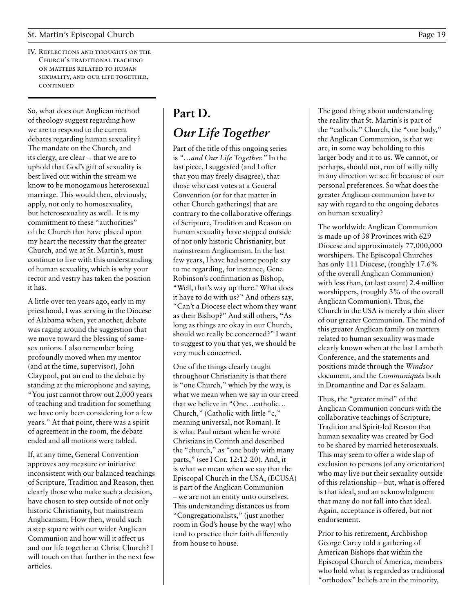So, what does our Anglican method of theology suggest regarding how we are to respond to the current debates regarding human sexuality? The mandate on the Church, and its clergy, are clear -- that we are to uphold that God's gift of sexuality is best lived out within the stream we know to be monogamous heterosexual marriage. This would then, obviously, apply, not only to homosexuality, but heterosexuality as well. It is my commitment to these "authorities" of the Church that have placed upon my heart the necessity that the greater Church, and we at St. Martin's, must continue to live with this understanding of human sexuality, which is why your rector and vestry has taken the position it has.

A little over ten years ago, early in my priesthood, I was serving in the Diocese of Alabama when, yet another, debate was raging around the suggestion that we move toward the blessing of samesex unions. I also remember being profoundly moved when my mentor (and at the time, supervisor), John Claypool, put an end to the debate by standing at the microphone and saying, "You just cannot throw out 2,000 years of teaching and tradition for something we have only been considering for a few years." At that point, there was a spirit of agreement in the room, the debate ended and all motions were tabled.

If, at any time, General Convention approves any measure or initiative inconsistent with our balanced teachings of Scripture, Tradition and Reason, then clearly those who make such a decision, have chosen to step outside of not only historic Christianity, but mainstream Anglicanism. How then, would such a step square with our wider Anglican Communion and how will it affect us and our life together at Christ Church? I will touch on that further in the next few articles.

## **Part D.** *Our Life Together*

Part of the title of this ongoing series is *"…and Our Life Together."* In the last piece, I suggested (and I offer that you may freely disagree), that those who cast votes at a General Convention (or for that matter in other Church gatherings) that are contrary to the collaborative offerings of Scripture, Tradition and Reason on human sexuality have stepped outside of not only historic Christianity, but mainstream Anglicanism. In the last few years, I have had some people say to me regarding, for instance, Gene Robinson's confirmation as Bishop, "Well, that's way up there.' What does it have to do with us?" And others say, "Can't a Diocese elect whom they want as their Bishop?" And still others, "As long as things are okay in our Church, should we really be concerned?" I want to suggest to you that yes, we should be very much concerned.

One of the things clearly taught throughout Christianity is that there is "one Church," which by the way, is what we mean when we say in our creed that we believe in "One…catholic… Church," (Catholic with little "c," meaning universal, not Roman). It is what Paul meant when he wrote Christians in Corinth and described the "church," as "one body with many parts," (see I Cor. 12:12-20). And, it is what we mean when we say that the Episcopal Church in the USA, (ECUSA) is part of the Anglican Communion – we are not an entity unto ourselves. This understanding distances us from "Congregationalists," (just another room in God's house by the way) who tend to practice their faith differently from house to house.

The good thing about understanding the reality that St. Martin's is part of the "catholic" Church, the "one body," the Anglican Communion, is that we are, in some way beholding to this larger body and it to us. We cannot, or perhaps, should not, run off willy nilly in any direction we see fit because of our personal preferences. So what does the greater Anglican communion have to say with regard to the ongoing debates on human sexuality?

The worldwide Anglican Communion is made up of 38 Provinces with 629 Diocese and approximately 77,000,000 worshipers. The Episcopal Churches has only 111 Diocese, (roughly 17.6% of the overall Anglican Communion) with less than, (at last count) 2.4 million worshippers, (roughly 3% of the overall Anglican Communion). Thus, the Church in the USA is merely a thin sliver of our greater Communion. The mind of this greater Anglican family on matters related to human sexuality was made clearly known when at the last Lambeth Conference, and the statements and positions made through the *Windsor*  document, and the *Communiqués* both in Dromantine and Dar es Salaam.

Thus, the "greater mind" of the Anglican Communion concurs with the collaborative teachings of Scripture, Tradition and Spirit-led Reason that human sexuality was created by God to be shared by married heterosexuals. This may seem to offer a wide slap of exclusion to persons (of any orientation) who may live out their sexuality outside of this relationship – but, what is offered is that ideal, and an acknowledgment that many do not fall into that ideal. Again, acceptance is offered, but not endorsement.

Prior to his retirement, Archbishop George Carey told a gathering of American Bishops that within the Episcopal Church of America, members who hold what is regarded as traditional "orthodox" beliefs are in the minority,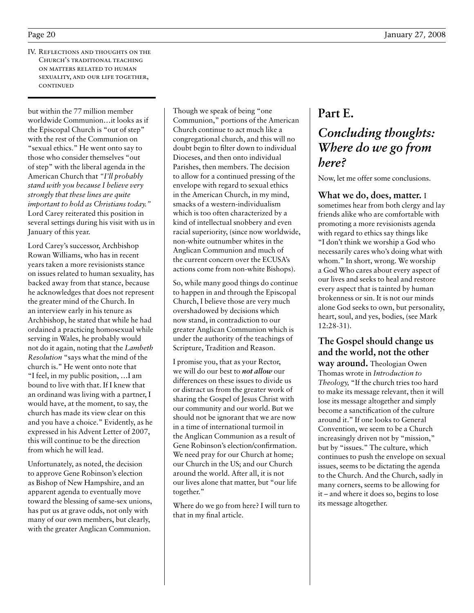but within the 77 million member worldwide Communion…it looks as if the Episcopal Church is "out of step" with the rest of the Communion on "sexual ethics." He went onto say to those who consider themselves "out of step" with the liberal agenda in the American Church that *"I'll probably stand with you because I believe very strongly that these lines are quite important to hold as Christians today."*  Lord Carey reiterated this position in several settings during his visit with us in January of this year.

Lord Carey's successor, Archbishop Rowan Williams, who has in recent years taken a more revisionists stance on issues related to human sexuality, has backed away from that stance, because he acknowledges that does not represent the greater mind of the Church. In an interview early in his tenure as Archbishop, he stated that while he had ordained a practicing homosexual while serving in Wales, he probably would not do it again, noting that the *Lambeth Resolution* "says what the mind of the church is." He went onto note that "I feel, in my public position, …I am bound to live with that. If I knew that an ordinand was living with a partner, I would have, at the moment, to say, the church has made its view clear on this and you have a choice." Evidently, as he expressed in his Advent Letter of 2007, this will continue to be the direction from which he will lead.

Unfortunately, as noted, the decision to approve Gene Robinson's election as Bishop of New Hampshire, and an apparent agenda to eventually move toward the blessing of same-sex unions, has put us at grave odds, not only with many of our own members, but clearly, with the greater Anglican Communion.

Though we speak of being "one Communion," portions of the American Church continue to act much like a congregational church, and this will no doubt begin to filter down to individual Dioceses, and then onto individual Parishes, then members. The decision to allow for a continued pressing of the envelope with regard to sexual ethics in the American Church, in my mind, smacks of a western-individualism which is too often characterized by a kind of intellectual snobbery and even racial superiority, (since now worldwide, non-white outnumber whites in the Anglican Communion and much of the current concern over the ECUSA's actions come from non-white Bishops).

So, while many good things do continue to happen in and through the Episcopal Church, I believe those are very much overshadowed by decisions which now stand, in contradiction to our greater Anglican Communion which is under the authority of the teachings of Scripture, Tradition and Reason.

I promise you, that as your Rector, we will do our best to *not allow* our differences on these issues to divide us or distract us from the greater work of sharing the Gospel of Jesus Christ with our community and our world. But we should not be ignorant that we are now in a time of international turmoil in the Anglican Communion as a result of Gene Robinson's election/confirmation. We need pray for our Church at home; our Church in the US; and our Church around the world. After all, it is not our lives alone that matter, but "our life together."

Where do we go from here? I will turn to that in my final article.

### **Part E.** *Concluding thoughts: Where do we go from here?*

Now, let me offer some conclusions.

**What we do, does, matter.** I sometimes hear from both clergy and lay friends alike who are comfortable with promoting a more revisionists agenda with regard to ethics say things like "I don't think we worship a God who necessarily cares who's doing what with whom." In short, wrong. We worship a God Who cares about every aspect of our lives and seeks to heal and restore every aspect that is tainted by human brokenness or sin. It is not our minds alone God seeks to own, but personality, heart, soul, and yes, bodies, (see Mark 12:28-31).

### **The Gospel should change us and the world, not the other**

**way around.** Theologian Owen Thomas wrote in *Introduction to Theology,* "If the church tries too hard to make its message relevant, then it will lose its message altogether and simply become a sanctification of the culture around it." If one looks to General Convention, we seem to be a Church increasingly driven not by "mission," but by "issues." The culture, which continues to push the envelope on sexual issues, seems to be dictating the agenda to the Church. And the Church, sadly in many corners, seems to be allowing for it – and where it does so, begins to lose its message altogether.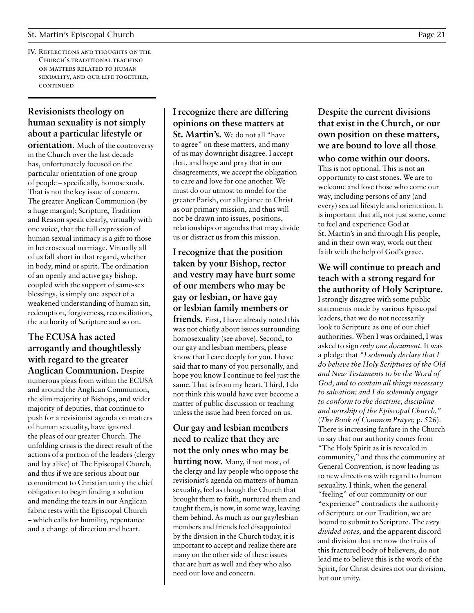#### St. Martin's Episcopal Church **Page 21** and the extent of the extent of the extent of the extent of the extent of the extent of the extent of the extent of the extent of the extent of the extent of the extent of the extent

IV. Reflections and thoughts on the Church's traditional teaching on matters related to human sexuality, and our life together, **CONTINUED** 

### **Revisionists theology on human sexuality is not simply about a particular lifestyle or**

**orientation.** Much of the controversy in the Church over the last decade has, unfortunately focused on the particular orientation of one group of people – specifically, homosexuals. That is not the key issue of concern. The greater Anglican Communion (by a huge margin); Scripture, Tradition and Reason speak clearly, virtually with one voice, that the full expression of human sexual intimacy is a gift to those in heterosexual marriage. Virtually all of us fall short in that regard, whether in body, mind or spirit. The ordination of an openly and active gay bishop, coupled with the support of same-sex blessings, is simply one aspect of a weakened understanding of human sin, redemption, forgiveness, reconciliation, the authority of Scripture and so on.

### **The ECUSA has acted arrogantly and thoughtlessly with regard to the greater**

**Anglican Communion.** Despite numerous pleas from within the ECUSA and around the Anglican Communion, the slim majority of Bishops, and wider majority of deputies, that continue to push for a revisionist agenda on matters of human sexuality, have ignored the pleas of our greater Church. The unfolding crisis is the direct result of the actions of a portion of the leaders (clergy and lay alike) of The Episcopal Church, and thus if we are serious about our commitment to Christian unity the chief obligation to begin finding a solution and mending the tears in our Anglican fabric rests with the Episcopal Church – which calls for humility, repentance and a change of direction and heart.

**I recognize there are differing opinions on these matters at** 

**St. Martin's.** We do not all "have to agree" on these matters, and many of us may downright disagree. I accept that, and hope and pray that in our disagreements, we accept the obligation to care and love for one another. We must do our utmost to model for the greater Parish, our allegiance to Christ as our primary mission, and thus will not be drawn into issues, positions, relationships or agendas that may divide us or distract us from this mission.

### **I recognize that the position taken by your Bishop, rector and vestry may have hurt some of our members who may be gay or lesbian, or have gay or lesbian family members or friends.** First, I have already noted this was not chiefly about issues surrounding homosexuality (see above). Second, to our gay and lesbian members, please know that I care deeply for you. I have said that to many of you personally, and hope you know I continue to feel just the same. That is from my heart. Third, I do not think this would have ever become a

### unless the issue had been forced on us. **Our gay and lesbian members need to realize that they are not the only ones who may be**

matter of public discussion or teaching

**hurting now.** Many, if not most, of the clergy and lay people who oppose the revisionist's agenda on matters of human sexuality, feel as though the Church that brought them to faith, nurtured them and taught them, is now, in some way, leaving them behind. As much as our gay/lesbian members and friends feel disappointed by the division in the Church today, it is important to accept and realize there are many on the other side of these issues that are hurt as well and they who also need our love and concern.

### **Despite the current divisions that exist in the Church, or our own position on these matters, we are bound to love all those**

### **who come within our doors.**

This is not optional. This is not an opportunity to cast stones. We are to welcome and love those who come our way, including persons of any (and every) sexual lifestyle and orientation. It is important that all, not just some, come to feel and experience God at St. Martin's in and through His people, and in their own way, work out their faith with the help of God's grace.

### **We will continue to preach and teach with a strong regard for the authority of Holy Scripture.**

I strongly disagree with some public statements made by various Episcopal leaders, that we do not necessarily look to Scripture as one of our chief authorities. When I was ordained, I was asked to sign *only one document.* It was a pledge that *"I solemnly declare that I do believe the Holy Scriptures of the Old and New Testaments to be the Word of God, and to contain all things necessary to salvation; and I do solemnly engage to conform to the doctrine, discipline and worship of the Episcopal Church,"*  (*The Book of Common Prayer,* p. 526). There is increasing fanfare in the Church to say that our authority comes from "The Holy Spirit as it is revealed in community," and thus the community at General Convention, is now leading us to new directions with regard to human sexuality. I think, when the general "feeling" of our community or our "experience" contradicts the authority of Scripture or our Tradition, we are bound to submit to Scripture. The *very divided votes,* and the apparent discord and division that are now the fruits of this fractured body of believers, do not lead me to believe this is the work of the Spirit, for Christ desires not our division, but our unity.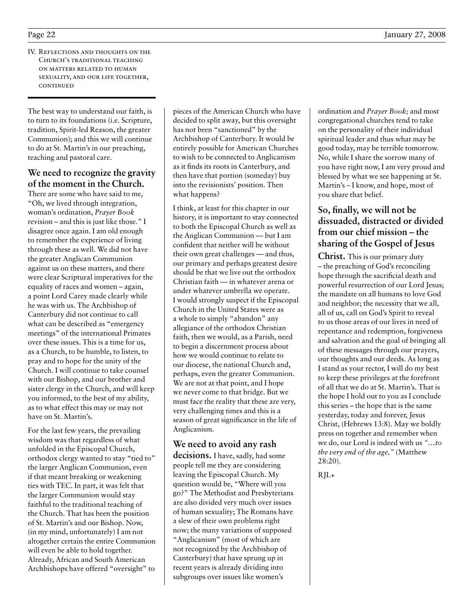The best way to understand our faith, is to turn to its foundations (i.e. Scripture, tradition, Spirit-led Reason, the greater Communion); and this we will continue to do at St. Martin's in our preaching, teaching and pastoral care.

### **We need to recognize the gravity of the moment in the Church.**

There are some who have said to me, "Oh, we lived through integration, woman's ordination, *Prayer Book* revision – and this is just like those." I disagree once again. I am old enough to remember the experience of living through these as well. We did not have the greater Anglican Communion against us on these matters, and there were clear Scriptural imperatives for the equality of races and women – again, a point Lord Carey made clearly while he was with us. The Archbishop of Canterbury did not continue to call what can be described as "emergency meetings" of the international Primates over these issues. This is a time for us, as a Church, to be humble, to listen, to pray and to hope for the unity of the Church. I will continue to take counsel with our Bishop, and our brother and sister clergy in the Church, and will keep you informed, to the best of my ability, as to what effect this may or may not have on St. Martin's.

For the last few years, the prevailing wisdom was that regardless of what unfolded in the Episcopal Church, orthodox clergy wanted to stay "tied to" the larger Anglican Communion, even if that meant breaking or weakening ties with TEC. In part, it was felt that the larger Communion would stay faithful to the traditional teaching of the Church. That has been the position of St. Martin's and our Bishop. Now, (in my mind, unfortunately) I am not altogether certain the entire Communion will even be able to hold together. Already, African and South American Archbishops have offered "oversight" to

pieces of the American Church who have decided to split away, but this oversight has not been "sanctioned" by the Archbishop of Canterbury. It would be entirely possible for American Churches to wish to be connected to Anglicanism as it finds its roots in Canterbury, and then have that portion (someday) buy into the revisionists' position. Then what happens?

I think, at least for this chapter in our history, it is important to stay connected to both the Episcopal Church as well as the Anglican Communion — but I am confident that neither will be without their own great challenges — and thus, our primary and perhaps greatest desire should be that we live out the orthodox Christian faith — in whatever arena or under whatever umbrella we operate. I would strongly suspect if the Episcopal Church in the United States were as a whole to simply "abandon" any allegiance of the orthodox Christian faith, then we would, as a Parish, need to begin a discernment process about how we would continue to relate to our diocese, the national Church and, perhaps, even the greater Communion. We are not at that point, and I hope we never come to that bridge. But we must face the reality that these are very, very challenging times and this is a season of great significance in the life of Anglicanism.

### **We need to avoid any rash**

**decisions.** I have, sadly, had some people tell me they are considering leaving the Episcopal Church. My question would be, "Where will you go?" The Methodist and Presbyterians are also divided very much over issues of human sexuality; The Romans have a slew of their own problems right now; the many variations of supposed "Anglicanism" (most of which are not recognized by the Archbishop of Canterbury) that have sprung up in recent years is already dividing into subgroups over issues like women's

ordination and *Prayer Book;* and most congregational churches tend to take on the personality of their individual spiritual leader and thus what may be good today, may be terrible tomorrow. No, while I share the sorrow many of you have right now, I am very proud and blessed by what we see happening at St. Martin's – I know, and hope, most of you share that belief.

### **So, finally, we will not be dissuaded, distracted or divided from our chief mission – the sharing of the Gospel of Jesus**

**Christ.** This is our primary duty – the preaching of God's reconciling hope through the sacrificial death and powerful resurrection of our Lord Jesus; the mandate on all humans to love God and neighbor; the necessity that we all, all of us, call on God's Spirit to reveal to us those areas of our lives in need of repentance and redemption, forgiveness and salvation and the goal of bringing all of these messages through our prayers, our thoughts and our deeds. As long as I stand as your rector, I will do my best to keep these privileges at the forefront of all that we do at St. Martin's. That is the hope I hold out to you as I conclude this series – the hope that is the same yesterday, today and forever, Jesus Christ, (Hebrews 13:8). May we boldly press on together and remember when we do, our Lord is indeed with us *"…to the very end of the age,"* (Matthew 28:20).

RJL+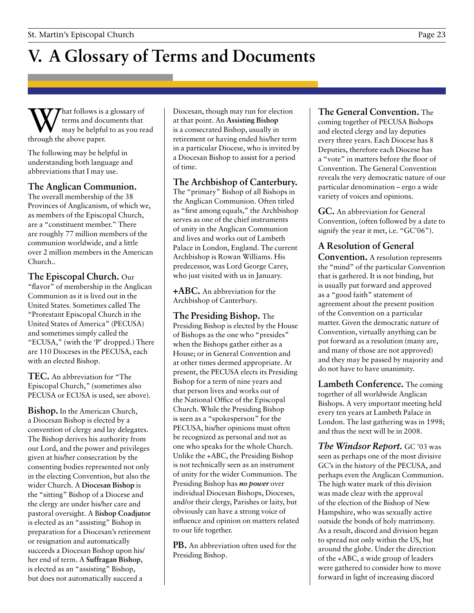# **V. A Glossary of Terms and Documents**

That follows is a glossary of terms and documents that may be helpful to as you read through the above paper.

The following may be helpful in understanding both language and abbreviations that I may use.

### **The Anglican Communion.**

The overall membership of the 38 Provinces of Anglicanism, of which we, as members of the Episcopal Church, are a "constituent member." There are roughly 77 million members of the communion worldwide, and a little over 2 million members in the American Church..

**The Episcopal Church.** Our "flavor" of membership in the Anglican Communion as it is lived out in the United States. Sometimes called The "Protestant Episcopal Church in the United States of America" (PECUSA) and sometimes simply called the "ECUSA," (with the 'P' dropped.) There are 110 Dioceses in the PECUSA, each with an elected Bishop.

**TEC.** An abbreviation for "The Episcopal Church," (sometimes also PECUSA or ECUSA is used, see above).

**Bishop.** In the American Church, a Diocesan Bishop is elected by a convention of clergy and lay delegates. The Bishop derives his authority from our Lord, and the power and privileges given at his/her consecration by the consenting bodies represented not only in the electing Convention, but also the wider Church. A **Diocesan Bishop** is the "sitting" Bishop of a Diocese and the clergy are under his/her care and pastoral oversight. A B**ishop Coadjutor**  is elected as an "assisting" Bishop in preparation for a Diocesan's retirement or resignation and automatically succeeds a Diocesan Bishop upon his/ her end of term. A **Suffragan Bishop**, is elected as an "assisting" Bishop, but does not automatically succeed a

Diocesan, though may run for election at that point. An **Assisting Bishop**  is a consecrated Bishop, usually in retirement or having ended his/her term in a particular Diocese, who is invited by a Diocesan Bishop to assist for a period of time.

### **The Archbishop of Canterbury.**

The "primary" Bishop of all Bishops in the Anglican Communion. Often titled as "first among equals," the Archbishop serves as one of the chief instruments of unity in the Anglican Communion and lives and works out of Lambeth Palace in London, England. The current Archbishop is Rowan Williams. His predecessor, was Lord George Carey, who just visited with us in January.

**+ABC.** An abbreviation for the Archbishop of Canterbury.

**The Presiding Bishop.** The Presiding Bishop is elected by the House of Bishops as the one who "presides" when the Bishops gather either as a House; or in General Convention and at other times deemed appropriate. At present, the PECUSA elects its Presiding Bishop for a term of nine years and that person lives and works out of the National Office of the Episcopal Church. While the Presiding Bishop is seen as a "spokesperson" for the PECUSA, his/her opinions must often be recognized as personal and not as one who speaks for the whole Church. Unlike the +ABC, the Presiding Bishop is not technically seen as an instrument of unity for the wider Communion. The Presiding Bishop has *no power* over individual Diocesan Bishops, Dioceses, and/or their clergy, Parishes or laity, but obviously can have a strong voice of influence and opinion on matters related to our life together.

**PB.** An abbreviation often used for the Presiding Bishop.

#### **The General Convention.** The coming together of PECUSA Bishops and elected clergy and lay deputies every three years. Each Diocese has 8 Deputies, therefore each Diocese has a "vote" in matters before the floor of Convention. The General Convention reveals the very democratic nature of our particular denomination – ergo a wide variety of voices and opinions.

**GC.** An abbreviation for General Convention, (often followed by a date to signify the year it met, i.e. "GC'06").

### **A Resolution of General**

**Convention.** A resolution represents the "mind" of the particular Convention that is gathered. It is not binding, but is usually put forward and approved as a "good faith" statement of agreement about the present position of the Convention on a particular matter. Given the democratic nature of Convention, virtually anything can be put forward as a resolution (many are, and many of those are not approved) and they may be passed by majority and do not have to have unanimity.

**Lambeth Conference.** The coming together of all worldwide Anglican Bishops. A very important meeting held every ten years at Lambeth Palace in London. The last gathering was in 1998; and thus the next will be in 2008.

*The Windsor Report.* GC '03 was seen as perhaps one of the most divisive GC's in the history of the PECUSA, and perhaps even the Anglican Communion. The high water mark of this division was made clear with the approval of the election of the Bishop of New Hampshire, who was sexually active outside the bonds of holy matrimony. As a result, discord and division began to spread not only within the US, but around the globe. Under the direction of the +ABC, a wide group of leaders were gathered to consider how to move forward in light of increasing discord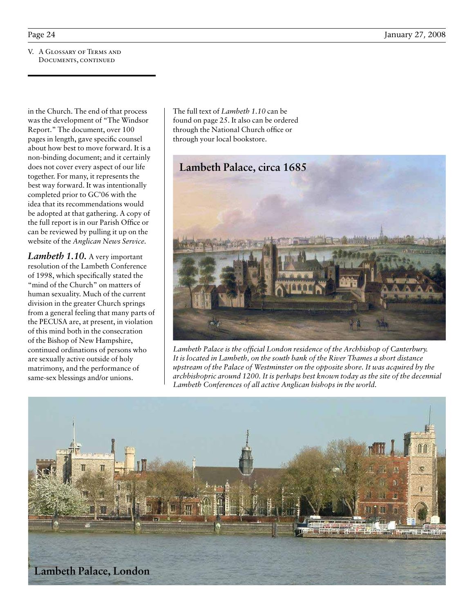V. A Glossary of Terms and DOCUMENTS, CONTINUED

in the Church. The end of that process was the development of "The Windsor Report." The document, over 100 pages in length, gave specific counsel about how best to move forward. It is a non-binding document; and it certainly does not cover every aspect of our life together. For many, it represents the best way forward. It was intentionally completed prior to GC'06 with the idea that its recommendations would be adopted at that gathering. A copy of the full report is in our Parish Office or can be reviewed by pulling it up on the website of the *Anglican News Service.*

Lambeth 1.10. A very important resolution of the Lambeth Conference of 1998, which specifically stated the "mind of the Church" on matters of human sexuality. Much of the current division in the greater Church springs from a general feeling that many parts of the PECUSA are, at present, in violation of this mind both in the consecration of the Bishop of New Hampshire, continued ordinations of persons who are sexually active outside of holy matrimony, and the performance of same-sex blessings and/or unions.

The full text of *Lambeth 1.10* can be found on page 25. It also can be ordered through the National Church office or through your local bookstore.



*Lambeth Palace is the official London residence of the Archbishop of Canterbury. It is located in Lambeth, on the south bank of the River Thames a short distance upstream of the Palace of Westminster on the opposite shore. It was acquired by the archbishopric around 1200. It is perhaps best known today as the site of the decennial Lambeth Conferences of all active Anglican bishops in the world.*

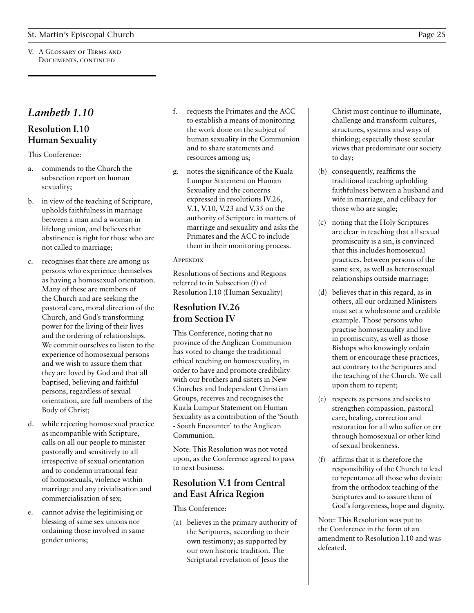V. A Glossary of Terms and DOCUMENTS, CONTINUED

### *Lambeth 1.10*

### **Resolution I.10 Human Sexuality**

This Conference:

- a. commends to the Church the subsection report on human sexuality;
- b. in view of the teaching of Scripture, upholds faithfulness in marriage between a man and a woman in lifelong union, and believes that abstinence is right for those who are not called to marriage;
- c. recognises that there are among us persons who experience themselves as having a homosexual orientation. Many of these are members of the Church and are seeking the pastoral care, moral direction of the Church, and God's transforming power for the living of their lives and the ordering of relationships. We commit ourselves to listen to the experience of homosexual persons and we wish to assure them that they are loved by God and that all baptised, believing and faithful persons, regardless of sexual orientation, are full members of the Body of Christ;
- d. while rejecting homosexual practice as incompatible with Scripture, calls on all our people to minister pastorally and sensitively to all irrespective of sexual orientation and to condemn irrational fear of homosexuals, violence within marriage and any trivialisation and commercialisation of sex;
- e. cannot advise the legitimising or blessing of same sex unions nor ordaining those involved in same gender unions;
- f. requests the Primates and the ACC to establish a means of monitoring the work done on the subject of human sexuality in the Communion and to share statements and resources among us;
- g. notes the significance of the Kuala Lumpur Statement on Human Sexuality and the concerns expressed in resolutions IV.26, V.1, V.10, V.23 and V.35 on the authority of Scripture in matters of marriage and sexuality and asks the Primates and the ACC to include them in their monitoring process.

#### **APPENDIX**

Resolutions of Sections and Regions referred to in Subsection (f) of Resolution I.10 (Human Sexuality)

### **Resolution IV.26 from Section IV**

This Conference, noting that no province of the Anglican Communion has voted to change the traditional ethical teaching on homosexuality, in order to have and promote credibility with our brothers and sisters in New Churches and Independent Christian Groups, receives and recognises the Kuala Lumpur Statement on Human Sexuality as a contribution of the 'South - South Encounter' to the Anglican Communion.

Note: This Resolution was not voted upon, as the Conference agreed to pass to next business.

### **Resolution V.1 from Central and East Africa Region**

This Conference:

(a) believes in the primary authority of the Scriptures, according to their own testimony; as supported by our own historic tradition. The Scriptural revelation of Jesus the

Christ must continue to illuminate, challenge and transform cultures, structures, systems and ways of thinking; especially those secular views that predominate our society to day;

- (b) consequently, reaffirms the traditional teaching upholding faithfulness between a husband and wife in marriage, and celibacy for those who are single;
- (c) noting that the Holy Scriptures are clear in teaching that all sexual promiscuity is a sin, is convinced that this includes homosexual practices, between persons of the same sex, as well as heterosexual relationships outside marriage;
- (d) believes that in this regard, as in others, all our ordained Ministers must set a wholesome and credible example. Those persons who practise homosexuality and live in promiscuity, as well as those Bishops who knowingly ordain them or encourage these practices, act contrary to the Scriptures and the teaching of the Church. We call upon them to repent;
- (e) respects as persons and seeks to strengthen compassion, pastoral care, healing, correction and restoration for all who suffer or err through homosexual or other kind of sexual brokenness.
- (f) affirms that it is therefore the responsibility of the Church to lead to repentance all those who deviate from the orthodox teaching of the Scriptures and to assure them of God's forgiveness, hope and dignity.

Note: This Resolution was put to the Conference in the form of an amendment to Resolution I.10 and was defeated.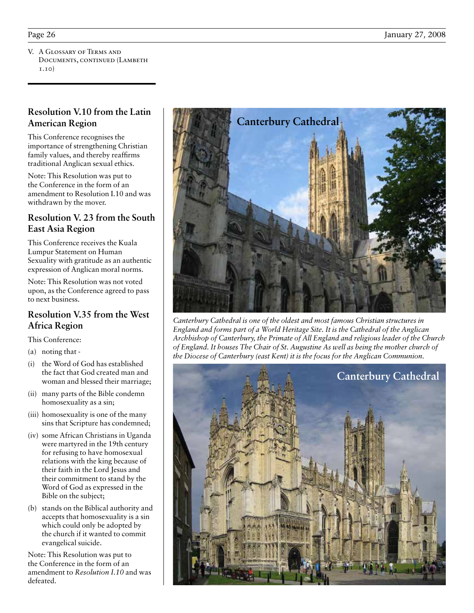V. A Glossary of Terms and DOCUMENTS, CONTINUED (LAMBETH 1.10)

### **Resolution V.10 from the Latin American Region**

This Conference recognises the importance of strengthening Christian family values, and thereby reaffirms traditional Anglican sexual ethics.

Note: This Resolution was put to the Conference in the form of an amendment to Resolution I.10 and was withdrawn by the mover.

### **Resolution V. 23 from the South East Asia Region**

This Conference receives the Kuala Lumpur Statement on Human Sexuality with gratitude as an authentic expression of Anglican moral norms.

Note: This Resolution was not voted upon, as the Conference agreed to pass to next business.

### **Resolution V.35 from the West Africa Region**

This Conference:

- (a) noting that -
- (i) the Word of God has established the fact that God created man and woman and blessed their marriage;
- (ii) many parts of the Bible condemn homosexuality as a sin;
- (iii) homosexuality is one of the many sins that Scripture has condemned;
- (iv) some African Christians in Uganda were martyred in the 19th century for refusing to have homosexual relations with the king because of their faith in the Lord Jesus and their commitment to stand by the Word of God as expressed in the Bible on the subject;
- (b) stands on the Biblical authority and accepts that homosexuality is a sin which could only be adopted by the church if it wanted to commit evangelical suicide.

Note: This Resolution was put to the Conference in the form of an amendment to *Resolution I.10* and was defeated.



*Canterbury Cathedral is one of the oldest and most famous Christian structures in England and forms part of a World Heritage Site. It is the Cathedral of the Anglican Archbishop of Canterbury, the Primate of All England and religious leader of the Church of England. It houses The Chair of St. Augustine As well as being the mother church of the Diocese of Canterbury (east Kent) it is the focus for the Anglican Communion.*

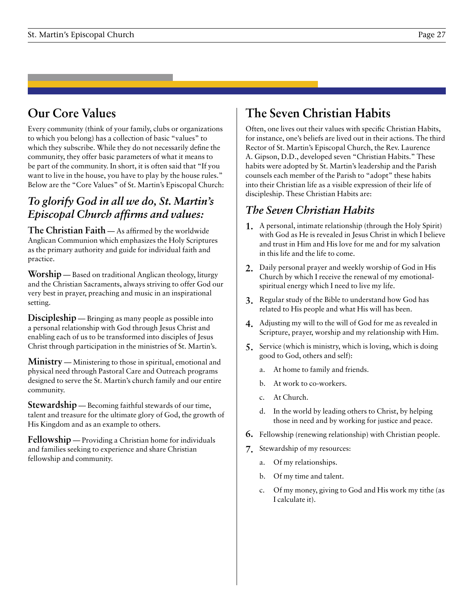### **Our Core Values**

Every community (think of your family, clubs or organizations to which you belong) has a collection of basic "values" to which they subscribe. While they do not necessarily define the community, they offer basic parameters of what it means to be part of the community. In short, it is often said that "If you want to live in the house, you have to play by the house rules." Below are the "Core Values" of St. Martin's Episcopal Church:

### *To glorify God in all we do, St. Martin's Episcopal Church affirms and values:*

**The Christian Faith** — As affirmed by the worldwide Anglican Communion which emphasizes the Holy Scriptures as the primary authority and guide for individual faith and practice.

**Worship** — Based on traditional Anglican theology, liturgy and the Christian Sacraments, always striving to offer God our very best in prayer, preaching and music in an inspirational setting.

**Discipleship** — Bringing as many people as possible into a personal relationship with God through Jesus Christ and enabling each of us to be transformed into disciples of Jesus Christ through participation in the ministries of St. Martin's.

**Ministry** — Ministering to those in spiritual, emotional and physical need through Pastoral Care and Outreach programs designed to serve the St. Martin's church family and our entire community.

**Stewardship** — Becoming faithful stewards of our time, talent and treasure for the ultimate glory of God, the growth of His Kingdom and as an example to others.

**Fellowship** — Providing a Christian home for individuals and families seeking to experience and share Christian fellowship and community.

### **The Seven Christian Habits**

Often, one lives out their values with specific Christian Habits, for instance, one's beliefs are lived out in their actions. The third Rector of St. Martin's Episcopal Church, the Rev. Laurence A. Gipson, D.D., developed seven "Christian Habits." These habits were adopted by St. Martin's leadership and the Parish counsels each member of the Parish to "adopt" these habits into their Christian life as a visible expression of their life of discipleship. These Christian Habits are:

### *The Seven Christian Habits*

- **1.** A personal, intimate relationship (through the Holy Spirit) with God as He is revealed in Jesus Christ in which I believe and trust in Him and His love for me and for my salvation in this life and the life to come.
- **2.** Daily personal prayer and weekly worship of God in His Church by which I receive the renewal of my emotionalspiritual energy which I need to live my life.
- **3.** Regular study of the Bible to understand how God has related to His people and what His will has been.
- **4.** Adjusting my will to the will of God for me as revealed in Scripture, prayer, worship and my relationship with Him.
- **5.** Service (which is ministry, which is loving, which is doing good to God, others and self):
	- a. At home to family and friends.
	- b. At work to co-workers.
	- c. At Church.
	- d. In the world by leading others to Christ, by helping those in need and by working for justice and peace.
- **6.** Fellowship (renewing relationship) with Christian people.
- **7.** Stewardship of my resources:
	- a. Of my relationships.
	- b. Of my time and talent.
	- c. Of my money, giving to God and His work my tithe (as I calculate it).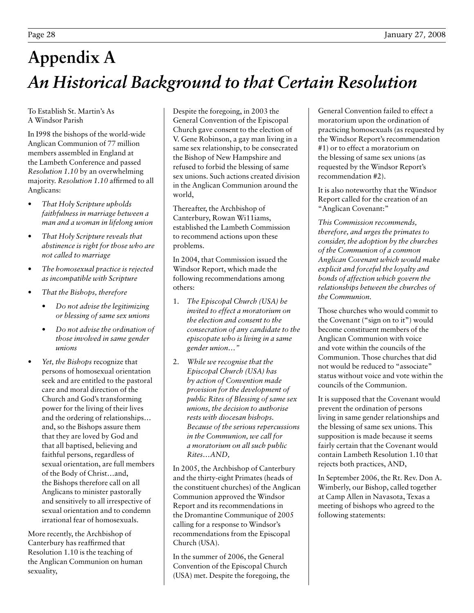# **Appendix A** *An Historical Background to that Certain Resolution*

To Establish St. Martin's As A Windsor Parish

In I998 the bishops of the world-wide Anglican Communion of 77 million members assembled in England at the Lambeth Conference and passed *Resolution 1.10* by an overwhelming majority. *Resolution 1.10* affirmed to all Anglicans:

- *• That Holy Scripture upholds faithfulness in marriage between a man and a woman in lifelong union*
- *• That Holy Scripture reveals that abstinence is right for those who are not called to marriage*
- *• The homosexual practice is rejected as incompatible with Scripture*
- *• That the Bishops, therefore*
	- *• Do not advise the legitimizing or blessing of same sex unions*
	- *• Do not advise the ordination of those involved in same gender unions*
- *• Yet, the Bishops* recognize that persons of homosexual orientation seek and are entitled to the pastoral care and moral direction of the Church and God's transforming power for the living of their lives and the ordering of relationships… and, so the Bishops assure them that they are loved by God and that all baptised, believing and faithful persons, regardless of sexual orientation, are full members of the Body of Christ…and, the Bishops therefore call on all Anglicans to minister pastorally and sensitively to all irrespective of sexual orientation and to condemn irrational fear of homosexuals.

More recently, the Archbishop of Canterbury has reaffirmed that Resolution 1.10 is the teaching of the Anglican Communion on human sexuality,

Despite the foregoing, in 2003 the General Convention of the Episcopal Church gave consent to the election of V. Gene Robinson, a gay man living in a same sex relationship, to be consecrated the Bishop of New Hampshire and refused to forbid the blessing of same sex unions. Such actions created division in the Anglican Communion around the world,

Thereafter, the Archbishop of Canterbury, Rowan Wi11iams, established the Lambeth Commission to recommend actions upon these problems.

In 2004, that Commission issued the Windsor Report, which made the following recommendations among others:

- 1. *The Episcopal Church (USA) be invited to effect a moratorium on the election and consent to the consecration of any candidate to the episcopate who is living in a same gender union…"*
- 2. *While we recognise that the Episcopal Church (USA) has by action of Convention made provision for the development of public Rites of Blessing of same sex unions, the decision to authorise rests with diocesan bishops. Because of the serious repercussions in the Communion, we call for a moratorium on all such public Rites…AND,*

In 2005, the Archbishop of Canterbury and the thirty-eight Primates (heads of the constituent churches) of the Anglican Communion approved the Windsor Report and its recommendations in the Dromantine Communique of 2005 calling for a response to Windsor's recommendations from the Episcopal Church (USA).

In the summer of 2006, the General Convention of the Episcopal Church (USA) met. Despite the foregoing, the

General Convention failed to effect a moratorium upon the ordination of practicing homosexuals (as requested by the Windsor Report's recommendation #1) or to effect a moratorium on the blessing of same sex unions (as requested by the Windsor Report's recommendation #2).

It is also noteworthy that the Windsor Report called for the creation of an "Anglican Covenant:"

*This Commission recommends, therefore, and urges the primates to consider, the adoption by the churches of the Communion of a common Anglican Covenant which would make explicit and forceful the loyalty and bonds of affection which govern the relationships between the churches of the Communion.*

Those churches who would commit to the Covenant ("sign on to it") would become constituent members of the Anglican Communion with voice and vote within the councils of the Communion. Those churches that did not would be reduced to "associate" status without voice and vote within the councils of the Communion.

It is supposed that the Covenant would prevent the ordination of persons living in same gender relationships and the blessing of same sex unions. This supposition is made because it seems fairly certain that the Covenant would contain Lambeth Resolution 1.10 that rejects both practices, AND,

In September 2006, the Rt. Rev. Don A. Wimberly, our Bishop, called together at Camp Allen in Navasota, Texas a meeting of bishops who agreed to the following statements: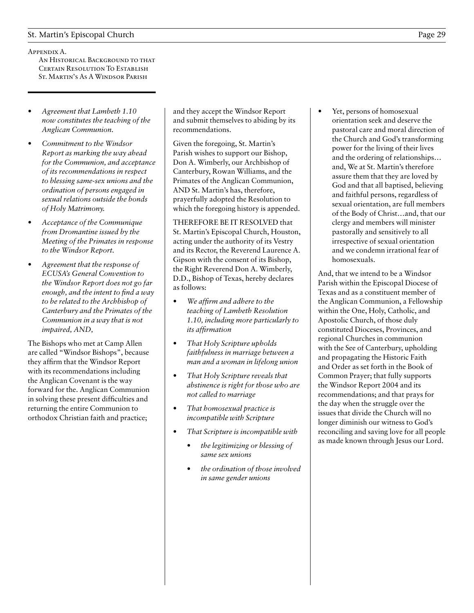Appendix A.

An Historical Background to that Certain Resolution To Establish St. Martin's As A Windsor Parish

- *• Agreement that Lambeth 1.10 now constitutes the teaching of the Anglican Communion.*
- *• Commitment to the Windsor Report as marking the way ahead for the Communion, and acceptance of its recommendations in respect to blessing same-sex unions and the ordination of persons engaged in sexual relations outside the bonds of Holy Matrimony.*
- *• Acceptance of the Communique from Dromantine issued by the Meeting of the Primates in response to the Windsor Report.*
- *• Agreement that the response of ECUSA's General Convention to the Windsor Report does not go far enough, and the intent to find a way to be related to the Archbishop of Canterbury and the Primates of the Communion in a way that is not impaired, AND,*

The Bishops who met at Camp Allen are called "Windsor Bishops", because they affirm that the Windsor Report with its recommendations including the Anglican Covenant is the way forward for the. Anglican Communion in solving these present difficulties and returning the entire Communion to orthodox Christian faith and practice;

and they accept the Windsor Report and submit themselves to abiding by its recommendations.

Given the foregoing, St. Martin's Parish wishes to support our Bishop, Don A. Wimberly, our Archbishop of Canterbury, Rowan Williams, and the Primates of the Anglican Communion, AND St. Martin's has, therefore, prayerfully adopted the Resolution to which the foregoing history is appended.

THEREFORE BE IT RESOLVED that St. Martin's Episcopal Church, Houston, acting under the authority of its Vestry and its Rector, the Reverend Laurence A. Gipson with the consent of its Bishop, the Right Reverend Don A. Wimberly, D.D., Bishop of Texas, hereby declares as follows:

- *• We affirm and adhere to the teaching of Lambeth Resolution 1.10, including more particularly to its affirmation*
- *• That Holy Scripture upholds faithfulness in marriage between a man and a woman in lifelong union*
- *• That Holy Scripture reveals that abstinence is right for those who are not called to marriage*
- *• That homosexual practice is incompatible with Scripture*
- *• That Scripture is incompatible with*
	- *• the legitimizing or blessing of same sex unions*
	- *• the ordination of those involved in same gender unions*

Yet, persons of homosexual orientation seek and deserve the pastoral care and moral direction of the Church and God's transforming power for the living of their lives and the ordering of relationships… and, We at St. Martin's therefore assure them that they are loved by God and that all baptised, believing and faithful persons, regardless of sexual orientation, are full members of the Body of Christ…and, that our clergy and members will minister pastorally and sensitively to all irrespective of sexual orientation and we condemn irrational fear of homosexuals.

And, that we intend to be a Windsor Parish within the Episcopal Diocese of Texas and as a constituent member of the Anglican Communion, a Fellowship within the One, Holy, Catholic, and Apostolic Church, of those duly constituted Dioceses, Provinces, and regional Churches in communion with the See of Canterbury, upholding and propagating the Historic Faith and Order as set forth in the Book of Common Prayer; that fully supports the Windsor Report 2004 and its recommendations; and that prays for the day when the struggle over the issues that divide the Church will no longer diminish our witness to God's reconciling and saving love for all people as made known through Jesus our Lord.